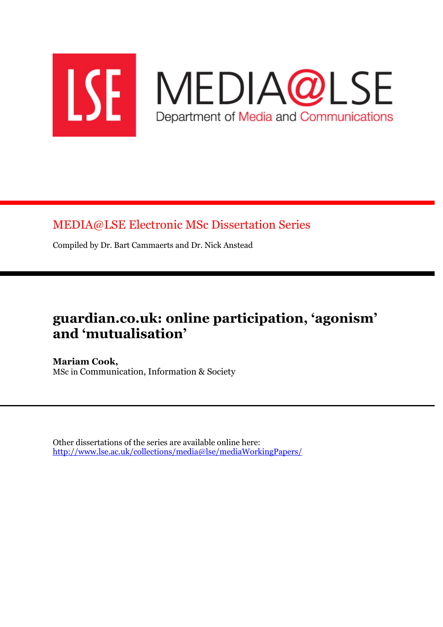

MEDIA@LSE Electronic MSc Dissertation Series

Compiled by Dr. Bart Cammaerts and Dr. Nick Anstead

# guardian.co.uk: online participation, 'agonism' and 'mutualisation'

Mariam Cook, MSc in Communication, Information & Society

Other dissertations of the series are available online here: http://www.lse.ac.uk/collections/media@lse/mediaWorkingPapers/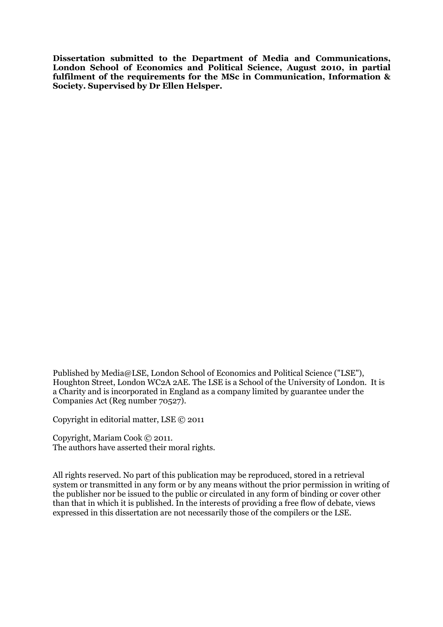Dissertation submitted to the Department of Media and Communications, London School of Economics and Political Science, August 2010, in partial fulfilment of the requirements for the MSc in Communication, Information & Society. Supervised by Dr Ellen Helsper.

Published by Media@LSE, London School of Economics and Political Science ("LSE"), Houghton Street, London WC2A 2AE. The LSE is a School of the University of London. It is a Charity and is incorporated in England as a company limited by guarantee under the Companies Act (Reg number 70527).

Copyright in editorial matter, LSE © 2011

Copyright, Mariam Cook © 2011. The authors have asserted their moral rights.

All rights reserved. No part of this publication may be reproduced, stored in a retrieval system or transmitted in any form or by any means without the prior permission in writing of the publisher nor be issued to the public or circulated in any form of binding or cover other than that in which it is published. In the interests of providing a free flow of debate, views expressed in this dissertation are not necessarily those of the compilers or the LSE.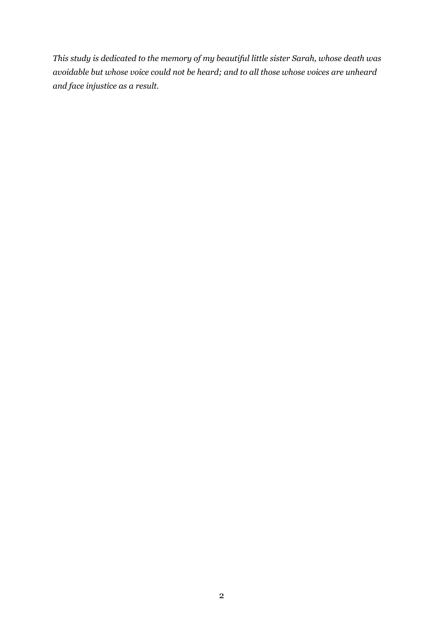This study is dedicated to the memory of my beautiful little sister Sarah, whose death was avoidable but whose voice could not be heard; and to all those whose voices are unheard and face injustice as a result.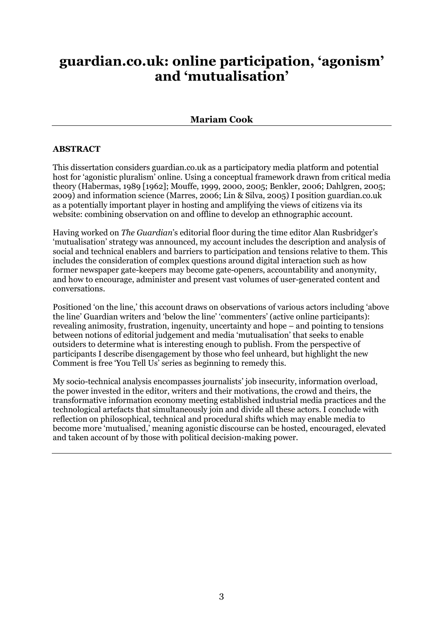## guardian.co.uk: online participation, 'agonism' and 'mutualisation'

## Mariam Cook

### ABSTRACT

This dissertation considers guardian.co.uk as a participatory media platform and potential host for 'agonistic pluralism' online. Using a conceptual framework drawn from critical media theory (Habermas, 1989 [1962]; Mouffe, 1999, 2000, 2005; Benkler, 2006; Dahlgren, 2005; 2009) and information science (Marres, 2006; Lin & Silva, 2005) I position guardian.co.uk as a potentially important player in hosting and amplifying the views of citizens via its website: combining observation on and offline to develop an ethnographic account.

Having worked on The Guardian's editorial floor during the time editor Alan Rusbridger's 'mutualisation' strategy was announced, my account includes the description and analysis of social and technical enablers and barriers to participation and tensions relative to them. This includes the consideration of complex questions around digital interaction such as how former newspaper gate-keepers may become gate-openers, accountability and anonymity, and how to encourage, administer and present vast volumes of user-generated content and conversations.

Positioned 'on the line,' this account draws on observations of various actors including 'above the line' Guardian writers and 'below the line' 'commenters' (active online participants): revealing animosity, frustration, ingenuity, uncertainty and hope – and pointing to tensions between notions of editorial judgement and media 'mutualisation' that seeks to enable outsiders to determine what is interesting enough to publish. From the perspective of participants I describe disengagement by those who feel unheard, but highlight the new Comment is free 'You Tell Us' series as beginning to remedy this.

My socio-technical analysis encompasses journalists' job insecurity, information overload, the power invested in the editor, writers and their motivations, the crowd and theirs, the transformative information economy meeting established industrial media practices and the technological artefacts that simultaneously join and divide all these actors. I conclude with reflection on philosophical, technical and procedural shifts which may enable media to become more 'mutualised,' meaning agonistic discourse can be hosted, encouraged, elevated and taken account of by those with political decision-making power.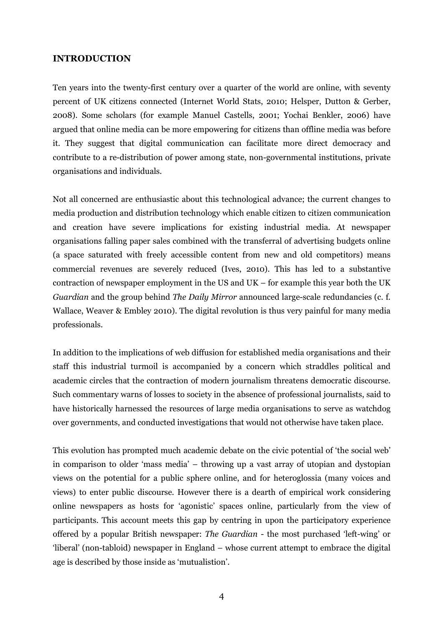#### INTRODUCTION

Ten years into the twenty-first century over a quarter of the world are online, with seventy percent of UK citizens connected (Internet World Stats, 2010; Helsper, Dutton & Gerber, 2008). Some scholars (for example Manuel Castells, 2001; Yochai Benkler, 2006) have argued that online media can be more empowering for citizens than offline media was before it. They suggest that digital communication can facilitate more direct democracy and contribute to a re-distribution of power among state, non-governmental institutions, private organisations and individuals.

Not all concerned are enthusiastic about this technological advance; the current changes to media production and distribution technology which enable citizen to citizen communication and creation have severe implications for existing industrial media. At newspaper organisations falling paper sales combined with the transferral of advertising budgets online (a space saturated with freely accessible content from new and old competitors) means commercial revenues are severely reduced (Ives, 2010). This has led to a substantive contraction of newspaper employment in the US and UK – for example this year both the UK Guardian and the group behind The Daily Mirror announced large-scale redundancies (c. f. Wallace, Weaver & Embley 2010). The digital revolution is thus very painful for many media professionals.

In addition to the implications of web diffusion for established media organisations and their staff this industrial turmoil is accompanied by a concern which straddles political and academic circles that the contraction of modern journalism threatens democratic discourse. Such commentary warns of losses to society in the absence of professional journalists, said to have historically harnessed the resources of large media organisations to serve as watchdog over governments, and conducted investigations that would not otherwise have taken place.

This evolution has prompted much academic debate on the civic potential of 'the social web' in comparison to older 'mass media' – throwing up a vast array of utopian and dystopian views on the potential for a public sphere online, and for heteroglossia (many voices and views) to enter public discourse. However there is a dearth of empirical work considering online newspapers as hosts for 'agonistic' spaces online, particularly from the view of participants. This account meets this gap by centring in upon the participatory experience offered by a popular British newspaper: The Guardian - the most purchased 'left-wing' or 'liberal' (non-tabloid) newspaper in England – whose current attempt to embrace the digital age is described by those inside as 'mutualistion'.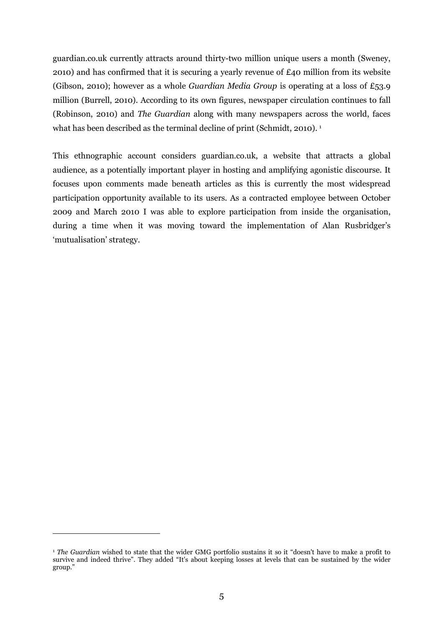guardian.co.uk currently attracts around thirty-two million unique users a month (Sweney, 2010) and has confirmed that it is securing a yearly revenue of £40 million from its website (Gibson, 2010); however as a whole Guardian Media Group is operating at a loss of £53.9 million (Burrell, 2010). According to its own figures, newspaper circulation continues to fall (Robinson, 2010) and The Guardian along with many newspapers across the world, faces what has been described as the terminal decline of print (Schmidt, 2010).<sup>1</sup>

This ethnographic account considers guardian.co.uk, a website that attracts a global audience, as a potentially important player in hosting and amplifying agonistic discourse. It focuses upon comments made beneath articles as this is currently the most widespread participation opportunity available to its users. As a contracted employee between October 2009 and March 2010 I was able to explore participation from inside the organisation, during a time when it was moving toward the implementation of Alan Rusbridger's 'mutualisation' strategy.

 $\overline{a}$ 

<sup>&</sup>lt;sup>1</sup> The Guardian wished to state that the wider GMG portfolio sustains it so it "doesn't have to make a profit to survive and indeed thrive". They added "It's about keeping losses at levels that can be sustained by the wider group."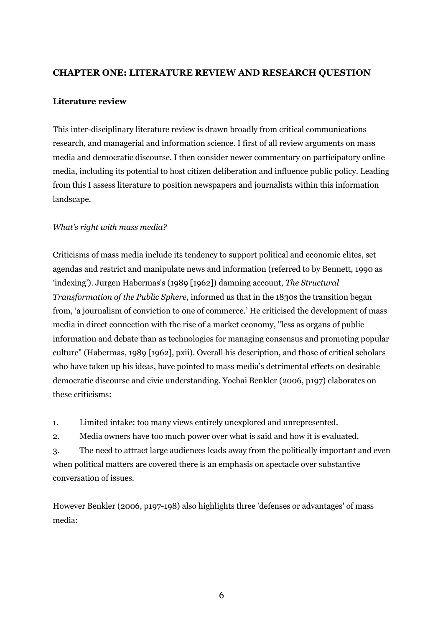## CHAPTER ONE: LITERATURE REVIEW AND RESEARCH QUESTION

#### Literature review

This inter-disciplinary literature review is drawn broadly from critical communications research, and managerial and information science. I first of all review arguments on mass media and democratic discourse. I then consider newer commentary on participatory online media, including its potential to host citizen deliberation and influence public policy. Leading from this I assess literature to position newspapers and journalists within this information landscape.

#### What's right with mass media?

Criticisms of mass media include its tendency to support political and economic elites, set agendas and restrict and manipulate news and information (referred to by Bennett, 1990 as 'indexing'). Jurgen Habermas's (1989 [1962]) damning account, The Structural Transformation of the Public Sphere, informed us that in the 1830s the transition began from, 'a journalism of conviction to one of commerce.' He criticised the development of mass media in direct connection with the rise of a market economy, "less as organs of public information and debate than as technologies for managing consensus and promoting popular culture" (Habermas, 1989 [1962], pxii). Overall his description, and those of critical scholars who have taken up his ideas, have pointed to mass media's detrimental effects on desirable democratic discourse and civic understanding. Yochai Benkler (2006, p197) elaborates on these criticisms:

1. Limited intake: too many views entirely unexplored and unrepresented.

2. Media owners have too much power over what is said and how it is evaluated.

3. The need to attract large audiences leads away from the politically important and even when political matters are covered there is an emphasis on spectacle over substantive conversation of issues.

However Benkler (2006, p197-198) also highlights three 'defenses or advantages' of mass media: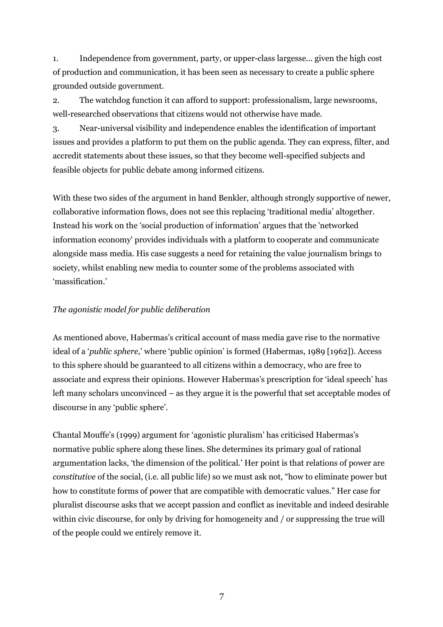1. Independence from government, party, or upper-class largesse... given the high cost of production and communication, it has been seen as necessary to create a public sphere grounded outside government.

2. The watchdog function it can afford to support: professionalism, large newsrooms, well-researched observations that citizens would not otherwise have made.

3. Near-universal visibility and independence enables the identification of important issues and provides a platform to put them on the public agenda. They can express, filter, and accredit statements about these issues, so that they become well-specified subjects and feasible objects for public debate among informed citizens.

With these two sides of the argument in hand Benkler, although strongly supportive of newer, collaborative information flows, does not see this replacing 'traditional media' altogether. Instead his work on the 'social production of information' argues that the 'networked information economy' provides individuals with a platform to cooperate and communicate alongside mass media. His case suggests a need for retaining the value journalism brings to society, whilst enabling new media to counter some of the problems associated with 'massification.'

## The agonistic model for public deliberation

As mentioned above, Habermas's critical account of mass media gave rise to the normative ideal of a 'public sphere,' where 'public opinion' is formed (Habermas, 1989 [1962]). Access to this sphere should be guaranteed to all citizens within a democracy, who are free to associate and express their opinions. However Habermas's prescription for 'ideal speech' has left many scholars unconvinced – as they argue it is the powerful that set acceptable modes of discourse in any 'public sphere'.

Chantal Mouffe's (1999) argument for 'agonistic pluralism' has criticised Habermas's normative public sphere along these lines. She determines its primary goal of rational argumentation lacks, 'the dimension of the political.' Her point is that relations of power are constitutive of the social, (i.e. all public life) so we must ask not, "how to eliminate power but how to constitute forms of power that are compatible with democratic values." Her case for pluralist discourse asks that we accept passion and conflict as inevitable and indeed desirable within civic discourse, for only by driving for homogeneity and / or suppressing the true will of the people could we entirely remove it.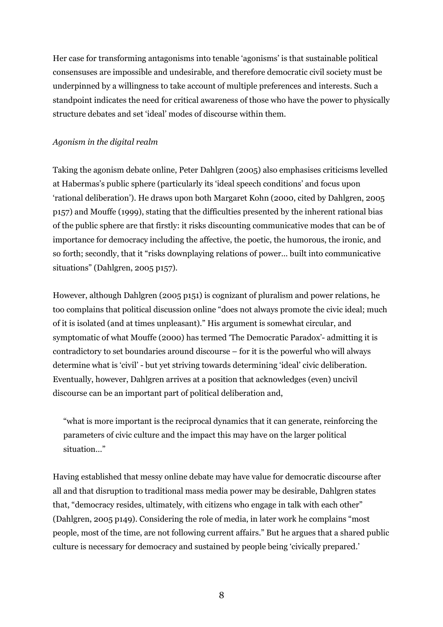Her case for transforming antagonisms into tenable 'agonisms' is that sustainable political consensuses are impossible and undesirable, and therefore democratic civil society must be underpinned by a willingness to take account of multiple preferences and interests. Such a standpoint indicates the need for critical awareness of those who have the power to physically structure debates and set 'ideal' modes of discourse within them.

## Agonism in the digital realm

Taking the agonism debate online, Peter Dahlgren (2005) also emphasises criticisms levelled at Habermas's public sphere (particularly its 'ideal speech conditions' and focus upon 'rational deliberation'). He draws upon both Margaret Kohn (2000, cited by Dahlgren, 2005 p157) and Mouffe (1999), stating that the difficulties presented by the inherent rational bias of the public sphere are that firstly: it risks discounting communicative modes that can be of importance for democracy including the affective, the poetic, the humorous, the ironic, and so forth; secondly, that it "risks downplaying relations of power… built into communicative situations" (Dahlgren, 2005 p157).

However, although Dahlgren (2005 p151) is cognizant of pluralism and power relations, he too complains that political discussion online "does not always promote the civic ideal; much of it is isolated (and at times unpleasant)." His argument is somewhat circular, and symptomatic of what Mouffe (2000) has termed 'The Democratic Paradox'- admitting it is contradictory to set boundaries around discourse – for it is the powerful who will always determine what is 'civil' - but yet striving towards determining 'ideal' civic deliberation. Eventually, however, Dahlgren arrives at a position that acknowledges (even) uncivil discourse can be an important part of political deliberation and,

"what is more important is the reciprocal dynamics that it can generate, reinforcing the parameters of civic culture and the impact this may have on the larger political situation…"

Having established that messy online debate may have value for democratic discourse after all and that disruption to traditional mass media power may be desirable, Dahlgren states that, "democracy resides, ultimately, with citizens who engage in talk with each other" (Dahlgren, 2005 p149). Considering the role of media, in later work he complains "most people, most of the time, are not following current affairs." But he argues that a shared public culture is necessary for democracy and sustained by people being 'civically prepared.'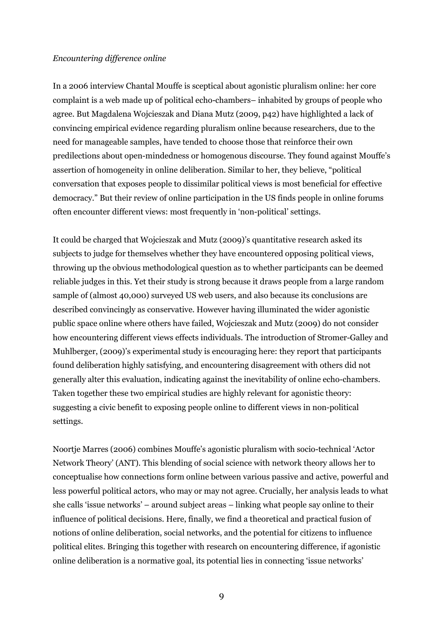#### Encountering difference online

In a 2006 interview Chantal Mouffe is sceptical about agonistic pluralism online: her core complaint is a web made up of political echo-chambers– inhabited by groups of people who agree. But Magdalena Wojcieszak and Diana Mutz (2009, p42) have highlighted a lack of convincing empirical evidence regarding pluralism online because researchers, due to the need for manageable samples, have tended to choose those that reinforce their own predilections about open-mindedness or homogenous discourse. They found against Mouffe's assertion of homogeneity in online deliberation. Similar to her, they believe, "political conversation that exposes people to dissimilar political views is most beneficial for effective democracy." But their review of online participation in the US finds people in online forums often encounter different views: most frequently in 'non-political' settings.

It could be charged that Wojcieszak and Mutz (2009)'s quantitative research asked its subjects to judge for themselves whether they have encountered opposing political views, throwing up the obvious methodological question as to whether participants can be deemed reliable judges in this. Yet their study is strong because it draws people from a large random sample of (almost 40,000) surveyed US web users, and also because its conclusions are described convincingly as conservative. However having illuminated the wider agonistic public space online where others have failed, Wojcieszak and Mutz (2009) do not consider how encountering different views effects individuals. The introduction of Stromer-Galley and Muhlberger, (2009)'s experimental study is encouraging here: they report that participants found deliberation highly satisfying, and encountering disagreement with others did not generally alter this evaluation, indicating against the inevitability of online echo-chambers. Taken together these two empirical studies are highly relevant for agonistic theory: suggesting a civic benefit to exposing people online to different views in non-political settings.

Noortje Marres (2006) combines Mouffe's agonistic pluralism with socio-technical 'Actor Network Theory' (ANT). This blending of social science with network theory allows her to conceptualise how connections form online between various passive and active, powerful and less powerful political actors, who may or may not agree. Crucially, her analysis leads to what she calls 'issue networks' – around subject areas – linking what people say online to their influence of political decisions. Here, finally, we find a theoretical and practical fusion of notions of online deliberation, social networks, and the potential for citizens to influence political elites. Bringing this together with research on encountering difference, if agonistic online deliberation is a normative goal, its potential lies in connecting 'issue networks'

9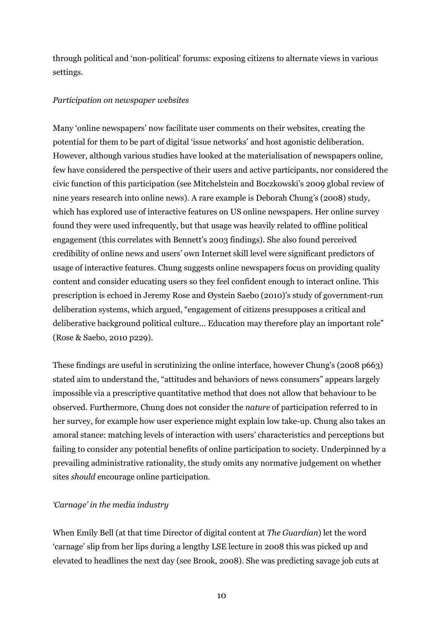through political and 'non-political' forums: exposing citizens to alternate views in various settings.

### Participation on newspaper websites

Many 'online newspapers' now facilitate user comments on their websites, creating the potential for them to be part of digital 'issue networks' and host agonistic deliberation. However, although various studies have looked at the materialisation of newspapers online, few have considered the perspective of their users and active participants, nor considered the civic function of this participation (see Mitchelstein and Boczkowski's 2009 global review of nine years research into online news). A rare example is Deborah Chung's (2008) study, which has explored use of interactive features on US online newspapers. Her online survey found they were used infrequently, but that usage was heavily related to offline political engagement (this correlates with Bennett's 2003 findings). She also found perceived credibility of online news and users' own Internet skill level were significant predictors of usage of interactive features. Chung suggests online newspapers focus on providing quality content and consider educating users so they feel confident enough to interact online. This prescription is echoed in Jeremy Rose and Øystein Saebo (2010)'s study of government-run deliberation systems, which argued, "engagement of citizens presupposes a critical and deliberative background political culture… Education may therefore play an important role" (Rose & Saebo, 2010 p229).

These findings are useful in scrutinizing the online interface, however Chung's (2008 p663) stated aim to understand the, "attitudes and behaviors of news consumers" appears largely impossible via a prescriptive quantitative method that does not allow that behaviour to be observed. Furthermore, Chung does not consider the nature of participation referred to in her survey, for example how user experience might explain low take-up. Chung also takes an amoral stance: matching levels of interaction with users' characteristics and perceptions but failing to consider any potential benefits of online participation to society. Underpinned by a prevailing administrative rationality, the study omits any normative judgement on whether sites should encourage online participation.

## 'Carnage' in the media industry

When Emily Bell (at that time Director of digital content at The Guardian) let the word 'carnage' slip from her lips during a lengthy LSE lecture in 2008 this was picked up and elevated to headlines the next day (see Brook, 2008). She was predicting savage job cuts at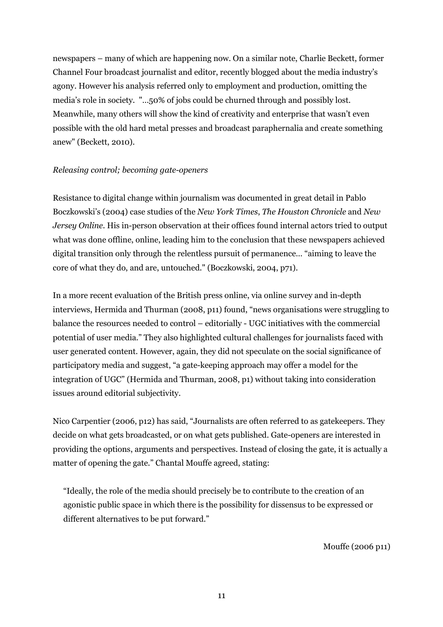newspapers – many of which are happening now. On a similar note, Charlie Beckett, former Channel Four broadcast journalist and editor, recently blogged about the media industry's agony. However his analysis referred only to employment and production, omitting the media's role in society. "…50% of jobs could be churned through and possibly lost. Meanwhile, many others will show the kind of creativity and enterprise that wasn't even possible with the old hard metal presses and broadcast paraphernalia and create something anew" (Beckett, 2010).

### Releasing control; becoming gate-openers

Resistance to digital change within journalism was documented in great detail in Pablo Boczkowski's (2004) case studies of the New York Times, The Houston Chronicle and New Jersey Online. His in-person observation at their offices found internal actors tried to output what was done offline, online, leading him to the conclusion that these newspapers achieved digital transition only through the relentless pursuit of permanence… "aiming to leave the core of what they do, and are, untouched." (Boczkowski, 2004, p71).

In a more recent evaluation of the British press online, via online survey and in-depth interviews, Hermida and Thurman (2008, p11) found, "news organisations were struggling to balance the resources needed to control – editorially - UGC initiatives with the commercial potential of user media." They also highlighted cultural challenges for journalists faced with user generated content. However, again, they did not speculate on the social significance of participatory media and suggest, "a gate-keeping approach may offer a model for the integration of UGC" (Hermida and Thurman, 2008, p1) without taking into consideration issues around editorial subjectivity.

Nico Carpentier (2006, p12) has said, "Journalists are often referred to as gatekeepers. They decide on what gets broadcasted, or on what gets published. Gate-openers are interested in providing the options, arguments and perspectives. Instead of closing the gate, it is actually a matter of opening the gate." Chantal Mouffe agreed, stating:

"Ideally, the role of the media should precisely be to contribute to the creation of an agonistic public space in which there is the possibility for dissensus to be expressed or different alternatives to be put forward."

Mouffe (2006 p11)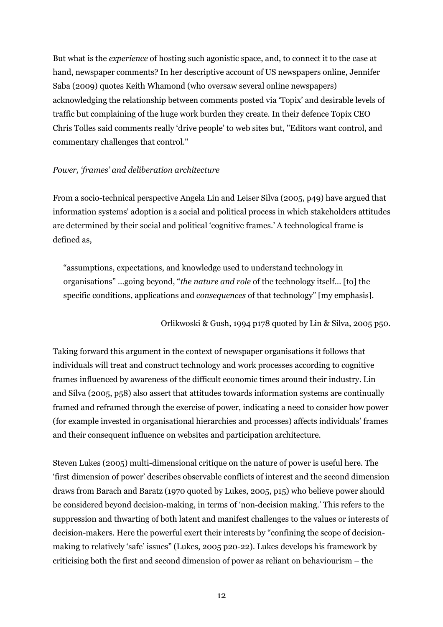But what is the experience of hosting such agonistic space, and, to connect it to the case at hand, newspaper comments? In her descriptive account of US newspapers online, Jennifer Saba (2009) quotes Keith Whamond (who oversaw several online newspapers) acknowledging the relationship between comments posted via 'Topix' and desirable levels of traffic but complaining of the huge work burden they create. In their defence Topix CEO Chris Tolles said comments really 'drive people' to web sites but, "Editors want control, and commentary challenges that control."

### Power, 'frames' and deliberation architecture

From a socio-technical perspective Angela Lin and Leiser Silva (2005, p49) have argued that information systems' adoption is a social and political process in which stakeholders attitudes are determined by their social and political 'cognitive frames.' A technological frame is defined as,

"assumptions, expectations, and knowledge used to understand technology in organisations" …going beyond, "the nature and role of the technology itself… [to] the specific conditions, applications and consequences of that technology" [my emphasis].

Orlikwoski & Gush, 1994 p178 quoted by Lin & Silva, 2005 p50.

Taking forward this argument in the context of newspaper organisations it follows that individuals will treat and construct technology and work processes according to cognitive frames influenced by awareness of the difficult economic times around their industry. Lin and Silva (2005, p58) also assert that attitudes towards information systems are continually framed and reframed through the exercise of power, indicating a need to consider how power (for example invested in organisational hierarchies and processes) affects individuals' frames and their consequent influence on websites and participation architecture.

Steven Lukes (2005) multi-dimensional critique on the nature of power is useful here. The 'first dimension of power' describes observable conflicts of interest and the second dimension draws from Barach and Baratz (1970 quoted by Lukes, 2005, p15) who believe power should be considered beyond decision-making, in terms of 'non-decision making.' This refers to the suppression and thwarting of both latent and manifest challenges to the values or interests of decision-makers. Here the powerful exert their interests by "confining the scope of decisionmaking to relatively 'safe' issues" (Lukes, 2005 p20-22). Lukes develops his framework by criticising both the first and second dimension of power as reliant on behaviourism – the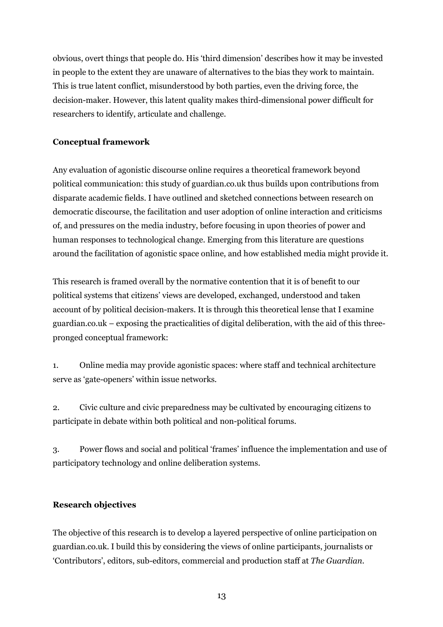obvious, overt things that people do. His 'third dimension' describes how it may be invested in people to the extent they are unaware of alternatives to the bias they work to maintain. This is true latent conflict, misunderstood by both parties, even the driving force, the decision-maker. However, this latent quality makes third-dimensional power difficult for researchers to identify, articulate and challenge.

## Conceptual framework

Any evaluation of agonistic discourse online requires a theoretical framework beyond political communication: this study of guardian.co.uk thus builds upon contributions from disparate academic fields. I have outlined and sketched connections between research on democratic discourse, the facilitation and user adoption of online interaction and criticisms of, and pressures on the media industry, before focusing in upon theories of power and human responses to technological change. Emerging from this literature are questions around the facilitation of agonistic space online, and how established media might provide it.

This research is framed overall by the normative contention that it is of benefit to our political systems that citizens' views are developed, exchanged, understood and taken account of by political decision-makers. It is through this theoretical lense that I examine guardian.co.uk – exposing the practicalities of digital deliberation, with the aid of this threepronged conceptual framework:

1. Online media may provide agonistic spaces: where staff and technical architecture serve as 'gate-openers' within issue networks.

2. Civic culture and civic preparedness may be cultivated by encouraging citizens to participate in debate within both political and non-political forums.

3. Power flows and social and political 'frames' influence the implementation and use of participatory technology and online deliberation systems.

## Research objectives

The objective of this research is to develop a layered perspective of online participation on guardian.co.uk. I build this by considering the views of online participants, journalists or 'Contributors', editors, sub-editors, commercial and production staff at The Guardian.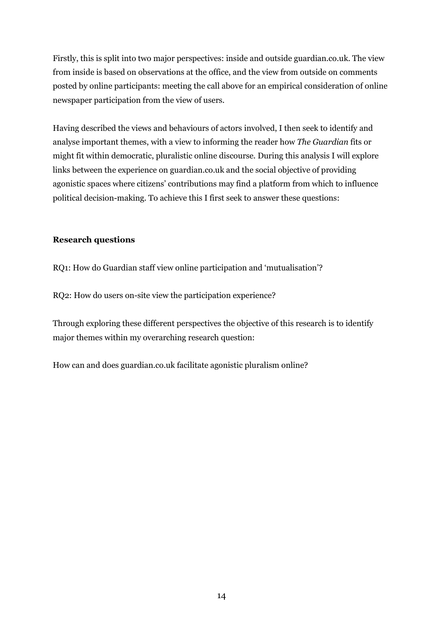Firstly, this is split into two major perspectives: inside and outside guardian.co.uk. The view from inside is based on observations at the office, and the view from outside on comments posted by online participants: meeting the call above for an empirical consideration of online newspaper participation from the view of users.

Having described the views and behaviours of actors involved, I then seek to identify and analyse important themes, with a view to informing the reader how The Guardian fits or might fit within democratic, pluralistic online discourse. During this analysis I will explore links between the experience on guardian.co.uk and the social objective of providing agonistic spaces where citizens' contributions may find a platform from which to influence political decision-making. To achieve this I first seek to answer these questions:

### Research questions

RQ1: How do Guardian staff view online participation and 'mutualisation'?

RQ2: How do users on-site view the participation experience?

Through exploring these different perspectives the objective of this research is to identify major themes within my overarching research question:

How can and does guardian.co.uk facilitate agonistic pluralism online?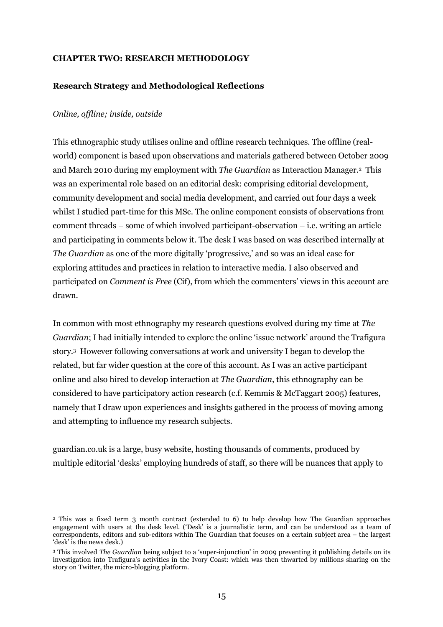#### CHAPTER TWO: RESEARCH METHODOLOGY

### Research Strategy and Methodological Reflections

#### Online, offline; inside, outside

 $\overline{a}$ 

This ethnographic study utilises online and offline research techniques. The offline (realworld) component is based upon observations and materials gathered between October 2009 and March 2010 during my employment with *The Guardian* as Interaction Manager.<sup>2</sup> This was an experimental role based on an editorial desk: comprising editorial development, community development and social media development, and carried out four days a week whilst I studied part-time for this MSc. The online component consists of observations from comment threads – some of which involved participant-observation – i.e. writing an article and participating in comments below it. The desk I was based on was described internally at The Guardian as one of the more digitally 'progressive,' and so was an ideal case for exploring attitudes and practices in relation to interactive media. I also observed and participated on Comment is Free (Cif), from which the commenters' views in this account are drawn.

In common with most ethnography my research questions evolved during my time at The Guardian; I had initially intended to explore the online 'issue network' around the Trafigura story.<sup>3</sup> However following conversations at work and university I began to develop the related, but far wider question at the core of this account. As I was an active participant online and also hired to develop interaction at The Guardian, this ethnography can be considered to have participatory action research (c.f. Kemmis & McTaggart 2005) features, namely that I draw upon experiences and insights gathered in the process of moving among and attempting to influence my research subjects.

guardian.co.uk is a large, busy website, hosting thousands of comments, produced by multiple editorial 'desks' employing hundreds of staff, so there will be nuances that apply to

<sup>2</sup> This was a fixed term 3 month contract (extended to 6) to help develop how The Guardian approaches engagement with users at the desk level. ('Desk' is a journalistic term, and can be understood as a team of correspondents, editors and sub-editors within The Guardian that focuses on a certain subject area – the largest 'desk' is the news desk.)

<sup>&</sup>lt;sup>3</sup> This involved *The Guardian* being subject to a 'super-injunction' in 2009 preventing it publishing details on its investigation into Trafigura's activities in the Ivory Coast: which was then thwarted by millions sharing on the story on Twitter, the micro-blogging platform.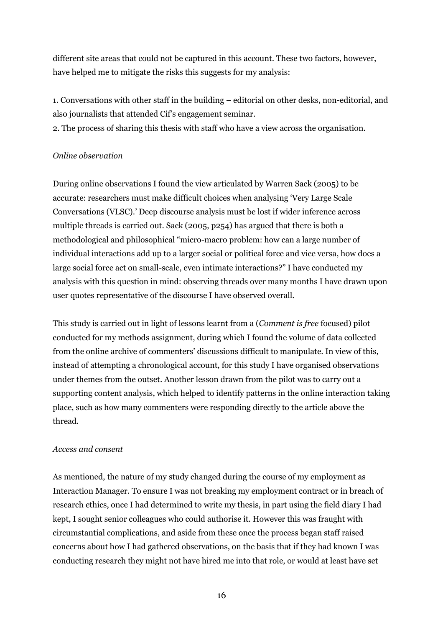different site areas that could not be captured in this account. These two factors, however, have helped me to mitigate the risks this suggests for my analysis:

1. Conversations with other staff in the building – editorial on other desks, non-editorial, and also journalists that attended Cif's engagement seminar.

2. The process of sharing this thesis with staff who have a view across the organisation.

## Online observation

During online observations I found the view articulated by Warren Sack (2005) to be accurate: researchers must make difficult choices when analysing 'Very Large Scale Conversations (VLSC).' Deep discourse analysis must be lost if wider inference across multiple threads is carried out. Sack (2005, p254) has argued that there is both a methodological and philosophical "micro-macro problem: how can a large number of individual interactions add up to a larger social or political force and vice versa, how does a large social force act on small-scale, even intimate interactions?" I have conducted my analysis with this question in mind: observing threads over many months I have drawn upon user quotes representative of the discourse I have observed overall.

This study is carried out in light of lessons learnt from a (Comment is free focused) pilot conducted for my methods assignment, during which I found the volume of data collected from the online archive of commenters' discussions difficult to manipulate. In view of this, instead of attempting a chronological account, for this study I have organised observations under themes from the outset. Another lesson drawn from the pilot was to carry out a supporting content analysis, which helped to identify patterns in the online interaction taking place, such as how many commenters were responding directly to the article above the thread.

#### Access and consent

As mentioned, the nature of my study changed during the course of my employment as Interaction Manager. To ensure I was not breaking my employment contract or in breach of research ethics, once I had determined to write my thesis, in part using the field diary I had kept, I sought senior colleagues who could authorise it. However this was fraught with circumstantial complications, and aside from these once the process began staff raised concerns about how I had gathered observations, on the basis that if they had known I was conducting research they might not have hired me into that role, or would at least have set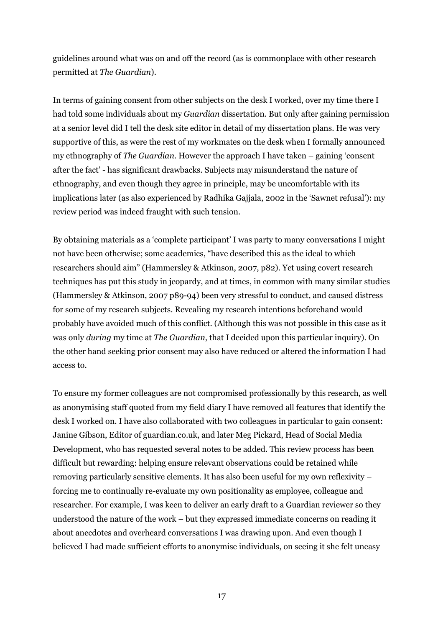guidelines around what was on and off the record (as is commonplace with other research permitted at The Guardian).

In terms of gaining consent from other subjects on the desk I worked, over my time there I had told some individuals about my Guardian dissertation. But only after gaining permission at a senior level did I tell the desk site editor in detail of my dissertation plans. He was very supportive of this, as were the rest of my workmates on the desk when I formally announced my ethnography of The Guardian. However the approach I have taken – gaining 'consent after the fact' - has significant drawbacks. Subjects may misunderstand the nature of ethnography, and even though they agree in principle, may be uncomfortable with its implications later (as also experienced by Radhika Gajjala, 2002 in the 'Sawnet refusal'): my review period was indeed fraught with such tension.

By obtaining materials as a 'complete participant' I was party to many conversations I might not have been otherwise; some academics, "have described this as the ideal to which researchers should aim" (Hammersley & Atkinson, 2007, p82). Yet using covert research techniques has put this study in jeopardy, and at times, in common with many similar studies (Hammersley & Atkinson, 2007 p89-94) been very stressful to conduct, and caused distress for some of my research subjects. Revealing my research intentions beforehand would probably have avoided much of this conflict. (Although this was not possible in this case as it was only during my time at The Guardian, that I decided upon this particular inquiry). On the other hand seeking prior consent may also have reduced or altered the information I had access to.

To ensure my former colleagues are not compromised professionally by this research, as well as anonymising staff quoted from my field diary I have removed all features that identify the desk I worked on. I have also collaborated with two colleagues in particular to gain consent: Janine Gibson, Editor of guardian.co.uk, and later Meg Pickard, Head of Social Media Development, who has requested several notes to be added. This review process has been difficult but rewarding: helping ensure relevant observations could be retained while removing particularly sensitive elements. It has also been useful for my own reflexivity – forcing me to continually re-evaluate my own positionality as employee, colleague and researcher. For example, I was keen to deliver an early draft to a Guardian reviewer so they understood the nature of the work – but they expressed immediate concerns on reading it about anecdotes and overheard conversations I was drawing upon. And even though I believed I had made sufficient efforts to anonymise individuals, on seeing it she felt uneasy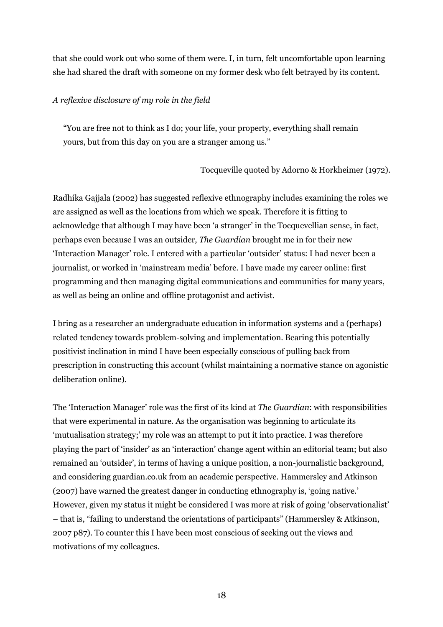that she could work out who some of them were. I, in turn, felt uncomfortable upon learning she had shared the draft with someone on my former desk who felt betrayed by its content.

### A reflexive disclosure of my role in the field

"You are free not to think as I do; your life, your property, everything shall remain yours, but from this day on you are a stranger among us."

### Tocqueville quoted by Adorno & Horkheimer (1972).

Radhika Gajjala (2002) has suggested reflexive ethnography includes examining the roles we are assigned as well as the locations from which we speak. Therefore it is fitting to acknowledge that although I may have been 'a stranger' in the Tocquevellian sense, in fact, perhaps even because I was an outsider, The Guardian brought me in for their new 'Interaction Manager' role. I entered with a particular 'outsider' status: I had never been a journalist, or worked in 'mainstream media' before. I have made my career online: first programming and then managing digital communications and communities for many years, as well as being an online and offline protagonist and activist.

I bring as a researcher an undergraduate education in information systems and a (perhaps) related tendency towards problem-solving and implementation. Bearing this potentially positivist inclination in mind I have been especially conscious of pulling back from prescription in constructing this account (whilst maintaining a normative stance on agonistic deliberation online).

The 'Interaction Manager' role was the first of its kind at The Guardian: with responsibilities that were experimental in nature. As the organisation was beginning to articulate its 'mutualisation strategy;' my role was an attempt to put it into practice. I was therefore playing the part of 'insider' as an 'interaction' change agent within an editorial team; but also remained an 'outsider', in terms of having a unique position, a non-journalistic background, and considering guardian.co.uk from an academic perspective. Hammersley and Atkinson (2007) have warned the greatest danger in conducting ethnography is, 'going native.' However, given my status it might be considered I was more at risk of going 'observationalist' – that is, "failing to understand the orientations of participants" (Hammersley & Atkinson, 2007 p87). To counter this I have been most conscious of seeking out the views and motivations of my colleagues.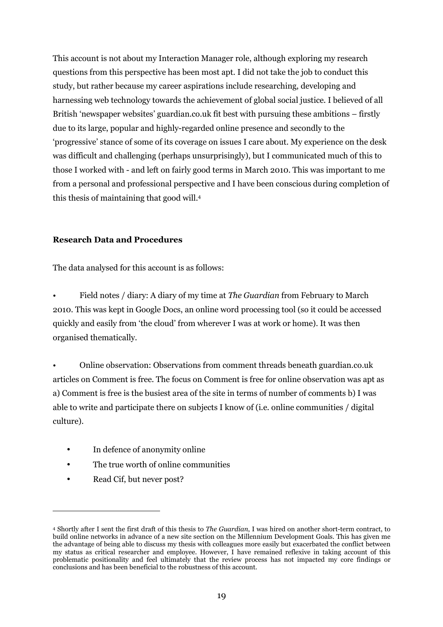This account is not about my Interaction Manager role, although exploring my research questions from this perspective has been most apt. I did not take the job to conduct this study, but rather because my career aspirations include researching, developing and harnessing web technology towards the achievement of global social justice. I believed of all British 'newspaper websites' guardian.co.uk fit best with pursuing these ambitions – firstly due to its large, popular and highly-regarded online presence and secondly to the 'progressive' stance of some of its coverage on issues I care about. My experience on the desk was difficult and challenging (perhaps unsurprisingly), but I communicated much of this to those I worked with - and left on fairly good terms in March 2010. This was important to me from a personal and professional perspective and I have been conscious during completion of this thesis of maintaining that good will.<sup>4</sup>

#### Research Data and Procedures

The data analysed for this account is as follows:

Field notes / diary: A diary of my time at *The Guardian* from February to March 2010. This was kept in Google Docs, an online word processing tool (so it could be accessed quickly and easily from 'the cloud' from wherever I was at work or home). It was then organised thematically.

• Online observation: Observations from comment threads beneath guardian.co.uk articles on Comment is free. The focus on Comment is free for online observation was apt as a) Comment is free is the busiest area of the site in terms of number of comments b) I was able to write and participate there on subjects I know of (i.e. online communities / digital culture).

- In defence of anonymity online
- The true worth of online communities
- Read Cif, but never post?

 $\overline{a}$ 

<sup>4</sup> Shortly after I sent the first draft of this thesis to The Guardian, I was hired on another short-term contract, to build online networks in advance of a new site section on the Millennium Development Goals. This has given me the advantage of being able to discuss my thesis with colleagues more easily but exacerbated the conflict between my status as critical researcher and employee. However, I have remained reflexive in taking account of this problematic positionality and feel ultimately that the review process has not impacted my core findings or conclusions and has been beneficial to the robustness of this account.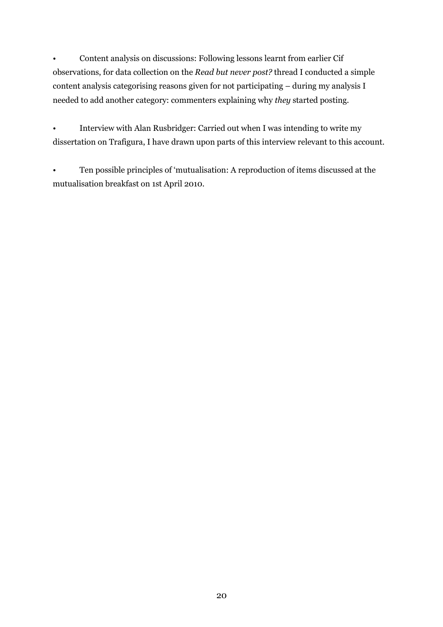• Content analysis on discussions: Following lessons learnt from earlier Cif observations, for data collection on the Read but never post? thread I conducted a simple content analysis categorising reasons given for not participating – during my analysis I needed to add another category: commenters explaining why they started posting.

• Interview with Alan Rusbridger: Carried out when I was intending to write my dissertation on Trafigura, I have drawn upon parts of this interview relevant to this account.

• Ten possible principles of 'mutualisation: A reproduction of items discussed at the mutualisation breakfast on 1st April 2010.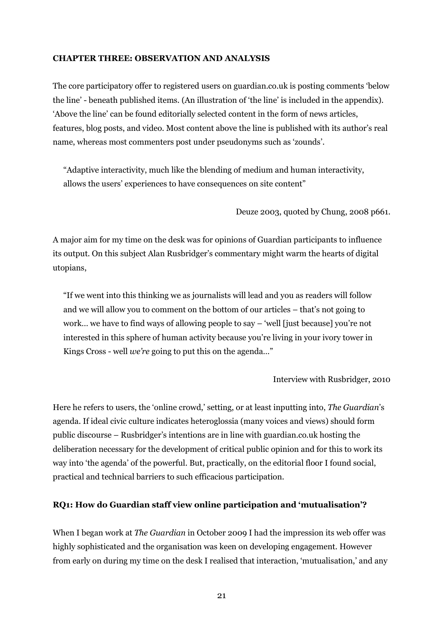#### CHAPTER THREE: OBSERVATION AND ANALYSIS

The core participatory offer to registered users on guardian.co.uk is posting comments 'below the line' - beneath published items. (An illustration of 'the line' is included in the appendix). 'Above the line' can be found editorially selected content in the form of news articles, features, blog posts, and video. Most content above the line is published with its author's real name, whereas most commenters post under pseudonyms such as 'zounds'.

"Adaptive interactivity, much like the blending of medium and human interactivity, allows the users' experiences to have consequences on site content"

Deuze 2003, quoted by Chung, 2008 p661.

A major aim for my time on the desk was for opinions of Guardian participants to influence its output. On this subject Alan Rusbridger's commentary might warm the hearts of digital utopians,

"If we went into this thinking we as journalists will lead and you as readers will follow and we will allow you to comment on the bottom of our articles – that's not going to work… we have to find ways of allowing people to say – 'well [just because] you're not interested in this sphere of human activity because you're living in your ivory tower in Kings Cross - well *we're* going to put this on the agenda..."

Interview with Rusbridger, 2010

Here he refers to users, the 'online crowd,' setting, or at least inputting into, The Guardian's agenda. If ideal civic culture indicates heteroglossia (many voices and views) should form public discourse – Rusbridger's intentions are in line with guardian.co.uk hosting the deliberation necessary for the development of critical public opinion and for this to work its way into 'the agenda' of the powerful. But, practically, on the editorial floor I found social, practical and technical barriers to such efficacious participation.

## RQ1: How do Guardian staff view online participation and 'mutualisation'?

When I began work at *The Guardian* in October 2009 I had the impression its web offer was highly sophisticated and the organisation was keen on developing engagement. However from early on during my time on the desk I realised that interaction, 'mutualisation,' and any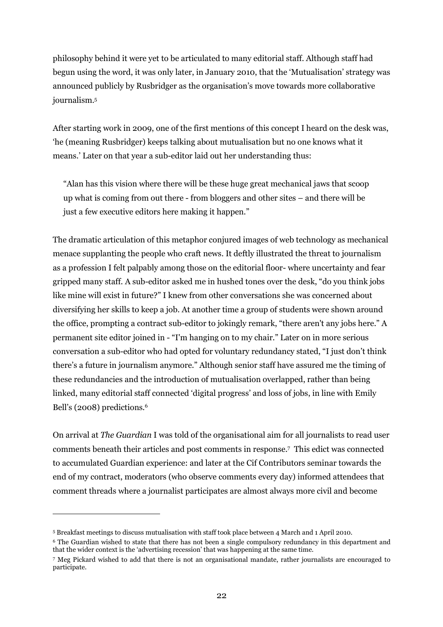philosophy behind it were yet to be articulated to many editorial staff. Although staff had begun using the word, it was only later, in January 2010, that the 'Mutualisation' strategy was announced publicly by Rusbridger as the organisation's move towards more collaborative journalism.<sup>5</sup>

After starting work in 2009, one of the first mentions of this concept I heard on the desk was, 'he (meaning Rusbridger) keeps talking about mutualisation but no one knows what it means.' Later on that year a sub-editor laid out her understanding thus:

"Alan has this vision where there will be these huge great mechanical jaws that scoop up what is coming from out there - from bloggers and other sites – and there will be just a few executive editors here making it happen."

The dramatic articulation of this metaphor conjured images of web technology as mechanical menace supplanting the people who craft news. It deftly illustrated the threat to journalism as a profession I felt palpably among those on the editorial floor- where uncertainty and fear gripped many staff. A sub-editor asked me in hushed tones over the desk, "do you think jobs like mine will exist in future?" I knew from other conversations she was concerned about diversifying her skills to keep a job. At another time a group of students were shown around the office, prompting a contract sub-editor to jokingly remark, "there aren't any jobs here." A permanent site editor joined in - "I'm hanging on to my chair." Later on in more serious conversation a sub-editor who had opted for voluntary redundancy stated, "I just don't think there's a future in journalism anymore." Although senior staff have assured me the timing of these redundancies and the introduction of mutualisation overlapped, rather than being linked, many editorial staff connected 'digital progress' and loss of jobs, in line with Emily Bell's (2008) predictions.<sup>6</sup>

On arrival at The Guardian I was told of the organisational aim for all journalists to read user comments beneath their articles and post comments in response.<sup>7</sup> This edict was connected to accumulated Guardian experience: and later at the Cif Contributors seminar towards the end of my contract, moderators (who observe comments every day) informed attendees that comment threads where a journalist participates are almost always more civil and become

 $\overline{a}$ 

<sup>5</sup> Breakfast meetings to discuss mutualisation with staff took place between 4 March and 1 April 2010.

<sup>6</sup> The Guardian wished to state that there has not been a single compulsory redundancy in this department and that the wider context is the 'advertising recession' that was happening at the same time.

<sup>7</sup> Meg Pickard wished to add that there is not an organisational mandate, rather journalists are encouraged to participate.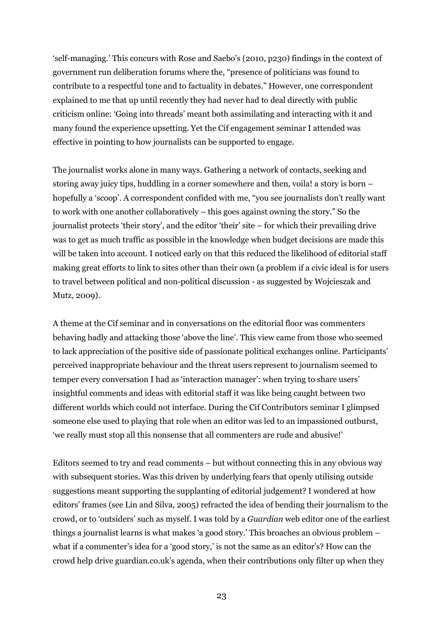'self-managing.' This concurs with Rose and Saebo's (2010, p230) findings in the context of government run deliberation forums where the, "presence of politicians was found to contribute to a respectful tone and to factuality in debates." However, one correspondent explained to me that up until recently they had never had to deal directly with public criticism online: 'Going into threads' meant both assimilating and interacting with it and many found the experience upsetting. Yet the Cif engagement seminar I attended was effective in pointing to how journalists can be supported to engage.

The journalist works alone in many ways. Gathering a network of contacts, seeking and storing away juicy tips, huddling in a corner somewhere and then, voila! a story is born – hopefully a 'scoop'. A correspondent confided with me, "you see journalists don't really want to work with one another collaboratively – this goes against owning the story." So the journalist protects 'their story', and the editor 'their' site – for which their prevailing drive was to get as much traffic as possible in the knowledge when budget decisions are made this will be taken into account. I noticed early on that this reduced the likelihood of editorial staff making great efforts to link to sites other than their own (a problem if a civic ideal is for users to travel between political and non-political discussion - as suggested by Wojcieszak and Mutz, 2009).

A theme at the Cif seminar and in conversations on the editorial floor was commenters behaving badly and attacking those 'above the line'. This view came from those who seemed to lack appreciation of the positive side of passionate political exchanges online. Participants' perceived inappropriate behaviour and the threat users represent to journalism seemed to temper every conversation I had as 'interaction manager': when trying to share users' insightful comments and ideas with editorial staff it was like being caught between two different worlds which could not interface. During the Cif Contributors seminar I glimpsed someone else used to playing that role when an editor was led to an impassioned outburst, 'we really must stop all this nonsense that all commenters are rude and abusive!'

Editors seemed to try and read comments – but without connecting this in any obvious way with subsequent stories. Was this driven by underlying fears that openly utilising outside suggestions meant supporting the supplanting of editorial judgement? I wondered at how editors' frames (see Lin and Silva, 2005) refracted the idea of bending their journalism to the crowd, or to 'outsiders' such as myself. I was told by a Guardian web editor one of the earliest things a journalist learns is what makes 'a good story.' This broaches an obvious problem – what if a commenter's idea for a 'good story,' is not the same as an editor's? How can the crowd help drive guardian.co.uk's agenda, when their contributions only filter up when they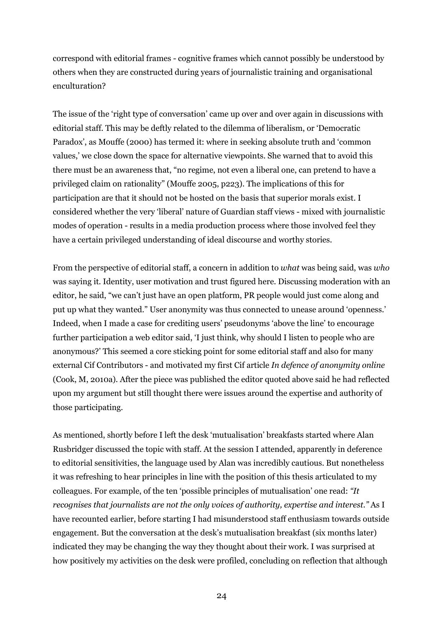correspond with editorial frames - cognitive frames which cannot possibly be understood by others when they are constructed during years of journalistic training and organisational enculturation?

The issue of the 'right type of conversation' came up over and over again in discussions with editorial staff. This may be deftly related to the dilemma of liberalism, or 'Democratic Paradox', as Mouffe (2000) has termed it: where in seeking absolute truth and 'common values,' we close down the space for alternative viewpoints. She warned that to avoid this there must be an awareness that, "no regime, not even a liberal one, can pretend to have a privileged claim on rationality" (Mouffe 2005, p223). The implications of this for participation are that it should not be hosted on the basis that superior morals exist. I considered whether the very 'liberal' nature of Guardian staff views - mixed with journalistic modes of operation - results in a media production process where those involved feel they have a certain privileged understanding of ideal discourse and worthy stories.

From the perspective of editorial staff, a concern in addition to what was being said, was who was saying it. Identity, user motivation and trust figured here. Discussing moderation with an editor, he said, "we can't just have an open platform, PR people would just come along and put up what they wanted." User anonymity was thus connected to unease around 'openness.' Indeed, when I made a case for crediting users' pseudonyms 'above the line' to encourage further participation a web editor said, 'I just think, why should I listen to people who are anonymous?' This seemed a core sticking point for some editorial staff and also for many external Cif Contributors - and motivated my first Cif article In defence of anonymity online (Cook, M, 2010a). After the piece was published the editor quoted above said he had reflected upon my argument but still thought there were issues around the expertise and authority of those participating.

As mentioned, shortly before I left the desk 'mutualisation' breakfasts started where Alan Rusbridger discussed the topic with staff. At the session I attended, apparently in deference to editorial sensitivities, the language used by Alan was incredibly cautious. But nonetheless it was refreshing to hear principles in line with the position of this thesis articulated to my colleagues. For example, of the ten 'possible principles of mutualisation' one read: "It recognises that journalists are not the only voices of authority, expertise and interest." As I have recounted earlier, before starting I had misunderstood staff enthusiasm towards outside engagement. But the conversation at the desk's mutualisation breakfast (six months later) indicated they may be changing the way they thought about their work. I was surprised at how positively my activities on the desk were profiled, concluding on reflection that although

24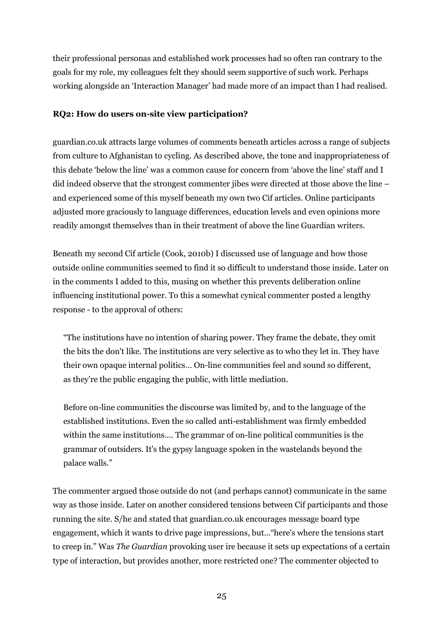their professional personas and established work processes had so often ran contrary to the goals for my role, my colleagues felt they should seem supportive of such work. Perhaps working alongside an 'Interaction Manager' had made more of an impact than I had realised.

#### RQ2: How do users on-site view participation?

guardian.co.uk attracts large volumes of comments beneath articles across a range of subjects from culture to Afghanistan to cycling. As described above, the tone and inappropriateness of this debate 'below the line' was a common cause for concern from 'above the line' staff and I did indeed observe that the strongest commenter jibes were directed at those above the line – and experienced some of this myself beneath my own two Cif articles. Online participants adjusted more graciously to language differences, education levels and even opinions more readily amongst themselves than in their treatment of above the line Guardian writers.

Beneath my second Cif article (Cook, 2010b) I discussed use of language and how those outside online communities seemed to find it so difficult to understand those inside. Later on in the comments I added to this, musing on whether this prevents deliberation online influencing institutional power. To this a somewhat cynical commenter posted a lengthy response - to the approval of others:

"The institutions have no intention of sharing power. They frame the debate, they omit the bits the don't like. The institutions are very selective as to who they let in. They have their own opaque internal politics… On-line communities feel and sound so different, as they're the public engaging the public, with little mediation.

Before on-line communities the discourse was limited by, and to the language of the established institutions. Even the so called anti-establishment was firmly embedded within the same institutions…. The grammar of on-line political communities is the grammar of outsiders. It's the gypsy language spoken in the wastelands beyond the palace walls."

The commenter argued those outside do not (and perhaps cannot) communicate in the same way as those inside. Later on another considered tensions between Cif participants and those running the site. S/he and stated that guardian.co.uk encourages message board type engagement, which it wants to drive page impressions, but…"here's where the tensions start to creep in." Was The Guardian provoking user ire because it sets up expectations of a certain type of interaction, but provides another, more restricted one? The commenter objected to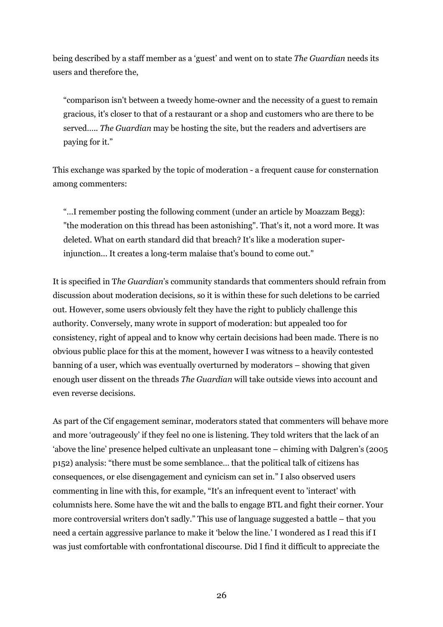being described by a staff member as a 'guest' and went on to state The Guardian needs its users and therefore the,

"comparison isn't between a tweedy home-owner and the necessity of a guest to remain gracious, it's closer to that of a restaurant or a shop and customers who are there to be served….. The Guardian may be hosting the site, but the readers and advertisers are paying for it."

This exchange was sparked by the topic of moderation - a frequent cause for consternation among commenters:

"…I remember posting the following comment (under an article by Moazzam Begg): "the moderation on this thread has been astonishing". That's it, not a word more. It was deleted. What on earth standard did that breach? It's like a moderation superinjunction... It creates a long-term malaise that's bound to come out."

It is specified in The Guardian's community standards that commenters should refrain from discussion about moderation decisions, so it is within these for such deletions to be carried out. However, some users obviously felt they have the right to publicly challenge this authority. Conversely, many wrote in support of moderation: but appealed too for consistency, right of appeal and to know why certain decisions had been made. There is no obvious public place for this at the moment, however I was witness to a heavily contested banning of a user, which was eventually overturned by moderators – showing that given enough user dissent on the threads The Guardian will take outside views into account and even reverse decisions.

As part of the Cif engagement seminar, moderators stated that commenters will behave more and more 'outrageously' if they feel no one is listening. They told writers that the lack of an 'above the line' presence helped cultivate an unpleasant tone – chiming with Dalgren's (2005 p152) analysis: "there must be some semblance… that the political talk of citizens has consequences, or else disengagement and cynicism can set in." I also observed users commenting in line with this, for example, "It's an infrequent event to 'interact' with columnists here. Some have the wit and the balls to engage BTL and fight their corner. Your more controversial writers don't sadly." This use of language suggested a battle – that you need a certain aggressive parlance to make it 'below the line.' I wondered as I read this if I was just comfortable with confrontational discourse. Did I find it difficult to appreciate the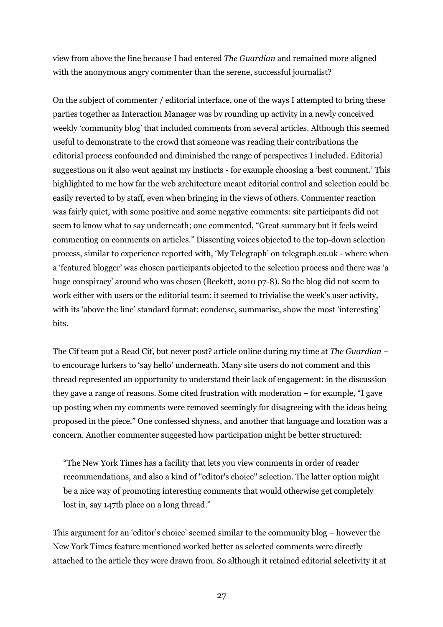view from above the line because I had entered The Guardian and remained more aligned with the anonymous angry commenter than the serene, successful journalist?

On the subject of commenter / editorial interface, one of the ways I attempted to bring these parties together as Interaction Manager was by rounding up activity in a newly conceived weekly 'community blog' that included comments from several articles. Although this seemed useful to demonstrate to the crowd that someone was reading their contributions the editorial process confounded and diminished the range of perspectives I included. Editorial suggestions on it also went against my instincts - for example choosing a 'best comment.' This highlighted to me how far the web architecture meant editorial control and selection could be easily reverted to by staff, even when bringing in the views of others. Commenter reaction was fairly quiet, with some positive and some negative comments: site participants did not seem to know what to say underneath; one commented, "Great summary but it feels weird commenting on comments on articles." Dissenting voices objected to the top-down selection process, similar to experience reported with, 'My Telegraph' on telegraph.co.uk - where when a 'featured blogger' was chosen participants objected to the selection process and there was 'a huge conspiracy' around who was chosen (Beckett, 2010 p7-8). So the blog did not seem to work either with users or the editorial team: it seemed to trivialise the week's user activity, with its 'above the line' standard format: condense, summarise, show the most 'interesting' bits.

The Cif team put a Read Cif, but never post? article online during my time at The Guardian – to encourage lurkers to 'say hello' underneath. Many site users do not comment and this thread represented an opportunity to understand their lack of engagement: in the discussion they gave a range of reasons. Some cited frustration with moderation – for example, "I gave up posting when my comments were removed seemingly for disagreeing with the ideas being proposed in the piece." One confessed shyness, and another that language and location was a concern. Another commenter suggested how participation might be better structured:

"The New York Times has a facility that lets you view comments in order of reader recommendations, and also a kind of "editor's choice" selection. The latter option might be a nice way of promoting interesting comments that would otherwise get completely lost in, say 147th place on a long thread."

This argument for an 'editor's choice' seemed similar to the community blog – however the New York Times feature mentioned worked better as selected comments were directly attached to the article they were drawn from. So although it retained editorial selectivity it at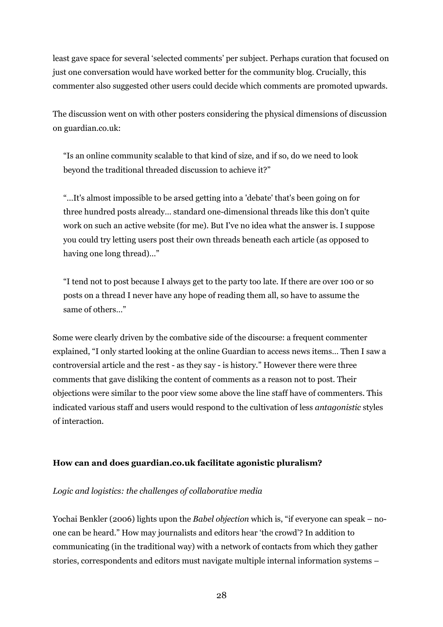least gave space for several 'selected comments' per subject. Perhaps curation that focused on just one conversation would have worked better for the community blog. Crucially, this commenter also suggested other users could decide which comments are promoted upwards.

The discussion went on with other posters considering the physical dimensions of discussion on guardian.co.uk:

"Is an online community scalable to that kind of size, and if so, do we need to look beyond the traditional threaded discussion to achieve it?"

"…It's almost impossible to be arsed getting into a 'debate' that's been going on for three hundred posts already… standard one-dimensional threads like this don't quite work on such an active website (for me). But I've no idea what the answer is. I suppose you could try letting users post their own threads beneath each article (as opposed to having one long thread)…"

"I tend not to post because I always get to the party too late. If there are over 100 or so posts on a thread I never have any hope of reading them all, so have to assume the same of others…"

Some were clearly driven by the combative side of the discourse: a frequent commenter explained, "I only started looking at the online Guardian to access news items… Then I saw a controversial article and the rest - as they say - is history." However there were three comments that gave disliking the content of comments as a reason not to post. Their objections were similar to the poor view some above the line staff have of commenters. This indicated various staff and users would respond to the cultivation of less antagonistic styles of interaction.

## How can and does guardian.co.uk facilitate agonistic pluralism?

#### Logic and logistics: the challenges of collaborative media

Yochai Benkler (2006) lights upon the *Babel objection* which is, "if everyone can speak – noone can be heard." How may journalists and editors hear 'the crowd'? In addition to communicating (in the traditional way) with a network of contacts from which they gather stories, correspondents and editors must navigate multiple internal information systems –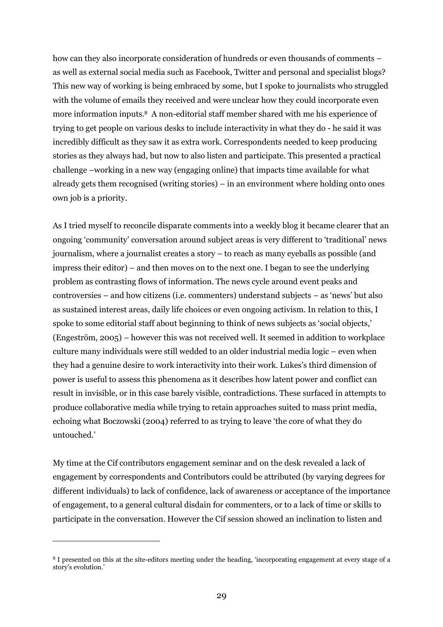how can they also incorporate consideration of hundreds or even thousands of comments – as well as external social media such as Facebook, Twitter and personal and specialist blogs? This new way of working is being embraced by some, but I spoke to journalists who struggled with the volume of emails they received and were unclear how they could incorporate even more information inputs.8 A non-editorial staff member shared with me his experience of trying to get people on various desks to include interactivity in what they do - he said it was incredibly difficult as they saw it as extra work. Correspondents needed to keep producing stories as they always had, but now to also listen and participate. This presented a practical challenge –working in a new way (engaging online) that impacts time available for what already gets them recognised (writing stories) – in an environment where holding onto ones own job is a priority.

As I tried myself to reconcile disparate comments into a weekly blog it became clearer that an ongoing 'community' conversation around subject areas is very different to 'traditional' news journalism, where a journalist creates a story – to reach as many eyeballs as possible (and impress their editor) – and then moves on to the next one. I began to see the underlying problem as contrasting flows of information. The news cycle around event peaks and controversies – and how citizens (i.e. commenters) understand subjects – as 'news' but also as sustained interest areas, daily life choices or even ongoing activism. In relation to this, I spoke to some editorial staff about beginning to think of news subjects as 'social objects,' (Engeström, 2005) – however this was not received well. It seemed in addition to workplace culture many individuals were still wedded to an older industrial media logic – even when they had a genuine desire to work interactivity into their work. Lukes's third dimension of power is useful to assess this phenomena as it describes how latent power and conflict can result in invisible, or in this case barely visible, contradictions. These surfaced in attempts to produce collaborative media while trying to retain approaches suited to mass print media, echoing what Boczowski (2004) referred to as trying to leave 'the core of what they do untouched.'

My time at the Cif contributors engagement seminar and on the desk revealed a lack of engagement by correspondents and Contributors could be attributed (by varying degrees for different individuals) to lack of confidence, lack of awareness or acceptance of the importance of engagement, to a general cultural disdain for commenters, or to a lack of time or skills to participate in the conversation. However the Cif session showed an inclination to listen and

 $\overline{a}$ 

<sup>8</sup> I presented on this at the site-editors meeting under the heading, 'incorporating engagement at every stage of a story's evolution.'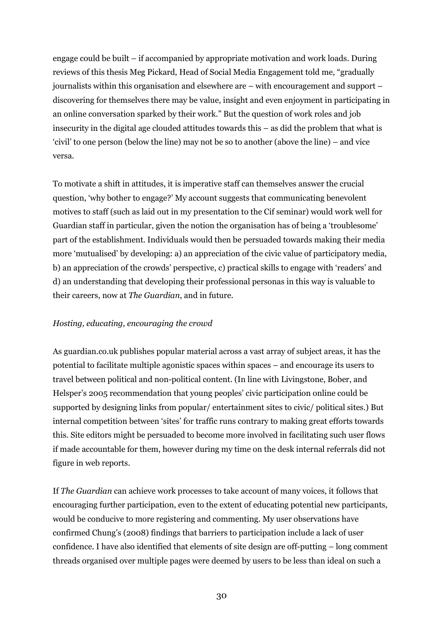engage could be built – if accompanied by appropriate motivation and work loads. During reviews of this thesis Meg Pickard, Head of Social Media Engagement told me, "gradually journalists within this organisation and elsewhere are – with encouragement and support – discovering for themselves there may be value, insight and even enjoyment in participating in an online conversation sparked by their work." But the question of work roles and job insecurity in the digital age clouded attitudes towards this – as did the problem that what is 'civil' to one person (below the line) may not be so to another (above the line) – and vice versa.

To motivate a shift in attitudes, it is imperative staff can themselves answer the crucial question, 'why bother to engage?' My account suggests that communicating benevolent motives to staff (such as laid out in my presentation to the Cif seminar) would work well for Guardian staff in particular, given the notion the organisation has of being a 'troublesome' part of the establishment. Individuals would then be persuaded towards making their media more 'mutualised' by developing: a) an appreciation of the civic value of participatory media, b) an appreciation of the crowds' perspective, c) practical skills to engage with 'readers' and d) an understanding that developing their professional personas in this way is valuable to their careers, now at The Guardian, and in future.

## Hosting, educating, encouraging the crowd

As guardian.co.uk publishes popular material across a vast array of subject areas, it has the potential to facilitate multiple agonistic spaces within spaces – and encourage its users to travel between political and non-political content. (In line with Livingstone, Bober, and Helsper's 2005 recommendation that young peoples' civic participation online could be supported by designing links from popular/ entertainment sites to civic/ political sites.) But internal competition between 'sites' for traffic runs contrary to making great efforts towards this. Site editors might be persuaded to become more involved in facilitating such user flows if made accountable for them, however during my time on the desk internal referrals did not figure in web reports.

If The Guardian can achieve work processes to take account of many voices, it follows that encouraging further participation, even to the extent of educating potential new participants, would be conducive to more registering and commenting. My user observations have confirmed Chung's (2008) findings that barriers to participation include a lack of user confidence. I have also identified that elements of site design are off-putting – long comment threads organised over multiple pages were deemed by users to be less than ideal on such a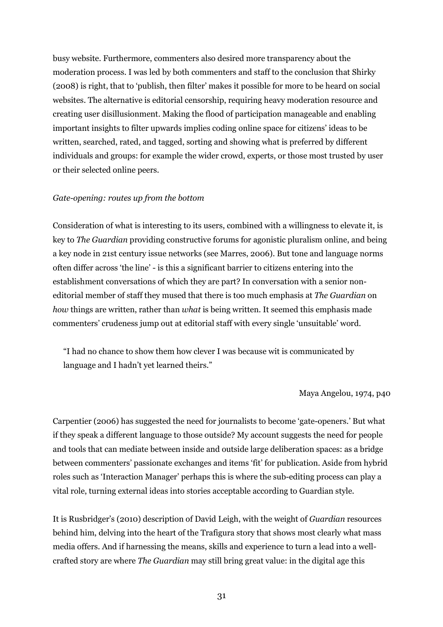busy website. Furthermore, commenters also desired more transparency about the moderation process. I was led by both commenters and staff to the conclusion that Shirky (2008) is right, that to 'publish, then filter' makes it possible for more to be heard on social websites. The alternative is editorial censorship, requiring heavy moderation resource and creating user disillusionment. Making the flood of participation manageable and enabling important insights to filter upwards implies coding online space for citizens' ideas to be written, searched, rated, and tagged, sorting and showing what is preferred by different individuals and groups: for example the wider crowd, experts, or those most trusted by user or their selected online peers.

#### Gate-opening: routes up from the bottom

Consideration of what is interesting to its users, combined with a willingness to elevate it, is key to The Guardian providing constructive forums for agonistic pluralism online, and being a key node in 21st century issue networks (see Marres, 2006). But tone and language norms often differ across 'the line' - is this a significant barrier to citizens entering into the establishment conversations of which they are part? In conversation with a senior noneditorial member of staff they mused that there is too much emphasis at The Guardian on how things are written, rather than what is being written. It seemed this emphasis made commenters' crudeness jump out at editorial staff with every single 'unsuitable' word.

"I had no chance to show them how clever I was because wit is communicated by language and I hadn't yet learned theirs."

#### Maya Angelou, 1974, p40

Carpentier (2006) has suggested the need for journalists to become 'gate-openers.' But what if they speak a different language to those outside? My account suggests the need for people and tools that can mediate between inside and outside large deliberation spaces: as a bridge between commenters' passionate exchanges and items 'fit' for publication. Aside from hybrid roles such as 'Interaction Manager' perhaps this is where the sub-editing process can play a vital role, turning external ideas into stories acceptable according to Guardian style.

It is Rusbridger's (2010) description of David Leigh, with the weight of Guardian resources behind him, delving into the heart of the Trafigura story that shows most clearly what mass media offers. And if harnessing the means, skills and experience to turn a lead into a wellcrafted story are where The Guardian may still bring great value: in the digital age this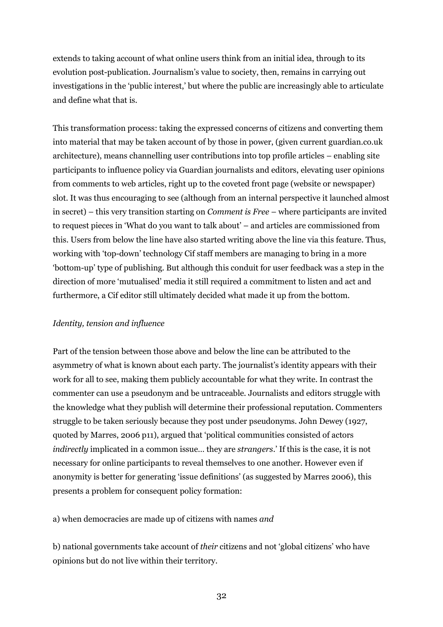extends to taking account of what online users think from an initial idea, through to its evolution post-publication. Journalism's value to society, then, remains in carrying out investigations in the 'public interest,' but where the public are increasingly able to articulate and define what that is.

This transformation process: taking the expressed concerns of citizens and converting them into material that may be taken account of by those in power, (given current guardian.co.uk architecture), means channelling user contributions into top profile articles – enabling site participants to influence policy via Guardian journalists and editors, elevating user opinions from comments to web articles, right up to the coveted front page (website or newspaper) slot. It was thus encouraging to see (although from an internal perspective it launched almost in secret) – this very transition starting on Comment is Free – where participants are invited to request pieces in 'What do you want to talk about' – and articles are commissioned from this. Users from below the line have also started writing above the line via this feature. Thus, working with 'top-down' technology Cif staff members are managing to bring in a more 'bottom-up' type of publishing. But although this conduit for user feedback was a step in the direction of more 'mutualised' media it still required a commitment to listen and act and furthermore, a Cif editor still ultimately decided what made it up from the bottom.

#### Identity, tension and influence

Part of the tension between those above and below the line can be attributed to the asymmetry of what is known about each party. The journalist's identity appears with their work for all to see, making them publicly accountable for what they write. In contrast the commenter can use a pseudonym and be untraceable. Journalists and editors struggle with the knowledge what they publish will determine their professional reputation. Commenters struggle to be taken seriously because they post under pseudonyms. John Dewey (1927, quoted by Marres, 2006 p11), argued that 'political communities consisted of actors indirectly implicated in a common issue… they are strangers.' If this is the case, it is not necessary for online participants to reveal themselves to one another. However even if anonymity is better for generating 'issue definitions' (as suggested by Marres 2006), this presents a problem for consequent policy formation:

a) when democracies are made up of citizens with names and

b) national governments take account of their citizens and not 'global citizens' who have opinions but do not live within their territory.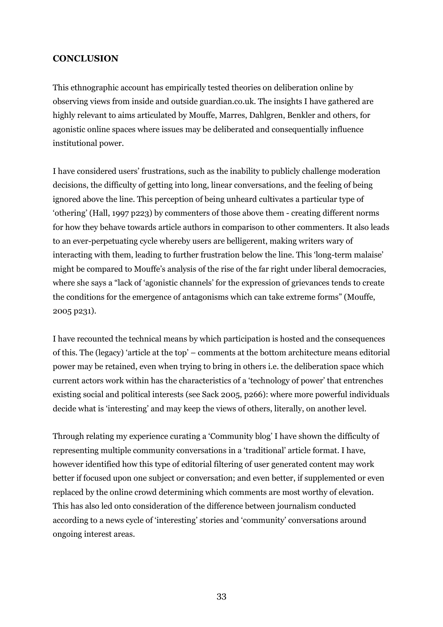### **CONCLUSION**

This ethnographic account has empirically tested theories on deliberation online by observing views from inside and outside guardian.co.uk. The insights I have gathered are highly relevant to aims articulated by Mouffe, Marres, Dahlgren, Benkler and others, for agonistic online spaces where issues may be deliberated and consequentially influence institutional power.

I have considered users' frustrations, such as the inability to publicly challenge moderation decisions, the difficulty of getting into long, linear conversations, and the feeling of being ignored above the line. This perception of being unheard cultivates a particular type of 'othering' (Hall, 1997 p223) by commenters of those above them - creating different norms for how they behave towards article authors in comparison to other commenters. It also leads to an ever-perpetuating cycle whereby users are belligerent, making writers wary of interacting with them, leading to further frustration below the line. This 'long-term malaise' might be compared to Mouffe's analysis of the rise of the far right under liberal democracies, where she says a "lack of 'agonistic channels' for the expression of grievances tends to create the conditions for the emergence of antagonisms which can take extreme forms" (Mouffe, 2005 p231).

I have recounted the technical means by which participation is hosted and the consequences of this. The (legacy) 'article at the top' – comments at the bottom architecture means editorial power may be retained, even when trying to bring in others i.e. the deliberation space which current actors work within has the characteristics of a 'technology of power' that entrenches existing social and political interests (see Sack 2005, p266): where more powerful individuals decide what is 'interesting' and may keep the views of others, literally, on another level.

Through relating my experience curating a 'Community blog' I have shown the difficulty of representing multiple community conversations in a 'traditional' article format. I have, however identified how this type of editorial filtering of user generated content may work better if focused upon one subject or conversation; and even better, if supplemented or even replaced by the online crowd determining which comments are most worthy of elevation. This has also led onto consideration of the difference between journalism conducted according to a news cycle of 'interesting' stories and 'community' conversations around ongoing interest areas.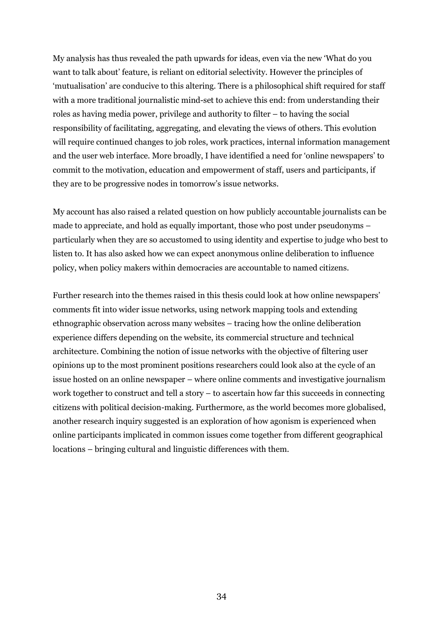My analysis has thus revealed the path upwards for ideas, even via the new 'What do you want to talk about' feature, is reliant on editorial selectivity. However the principles of 'mutualisation' are conducive to this altering. There is a philosophical shift required for staff with a more traditional journalistic mind-set to achieve this end: from understanding their roles as having media power, privilege and authority to filter – to having the social responsibility of facilitating, aggregating, and elevating the views of others. This evolution will require continued changes to job roles, work practices, internal information management and the user web interface. More broadly, I have identified a need for 'online newspapers' to commit to the motivation, education and empowerment of staff, users and participants, if they are to be progressive nodes in tomorrow's issue networks.

My account has also raised a related question on how publicly accountable journalists can be made to appreciate, and hold as equally important, those who post under pseudonyms – particularly when they are so accustomed to using identity and expertise to judge who best to listen to. It has also asked how we can expect anonymous online deliberation to influence policy, when policy makers within democracies are accountable to named citizens.

Further research into the themes raised in this thesis could look at how online newspapers' comments fit into wider issue networks, using network mapping tools and extending ethnographic observation across many websites – tracing how the online deliberation experience differs depending on the website, its commercial structure and technical architecture. Combining the notion of issue networks with the objective of filtering user opinions up to the most prominent positions researchers could look also at the cycle of an issue hosted on an online newspaper – where online comments and investigative journalism work together to construct and tell a story – to ascertain how far this succeeds in connecting citizens with political decision-making. Furthermore, as the world becomes more globalised, another research inquiry suggested is an exploration of how agonism is experienced when online participants implicated in common issues come together from different geographical locations – bringing cultural and linguistic differences with them.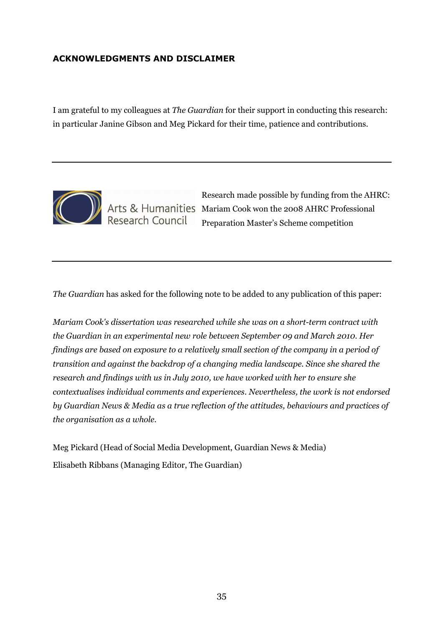## ACKNOWLEDGMENTS AND DISCLAIMER

I am grateful to my colleagues at The Guardian for their support in conducting this research: in particular Janine Gibson and Meg Pickard for their time, patience and contributions.



Research made possible by funding from the AHRC: Arts & Humanities Mariam Cook won the 2008 AHRC Professional Preparation Master's Scheme competition

The Guardian has asked for the following note to be added to any publication of this paper:

Mariam Cook's dissertation was researched while she was on a short-term contract with the Guardian in an experimental new role between September 09 and March 2010. Her findings are based on exposure to a relatively small section of the company in a period of transition and against the backdrop of a changing media landscape. Since she shared the research and findings with us in July 2010, we have worked with her to ensure she contextualises individual comments and experiences. Nevertheless, the work is not endorsed by Guardian News & Media as a true reflection of the attitudes, behaviours and practices of the organisation as a whole.

Meg Pickard (Head of Social Media Development, Guardian News & Media) Elisabeth Ribbans (Managing Editor, The Guardian)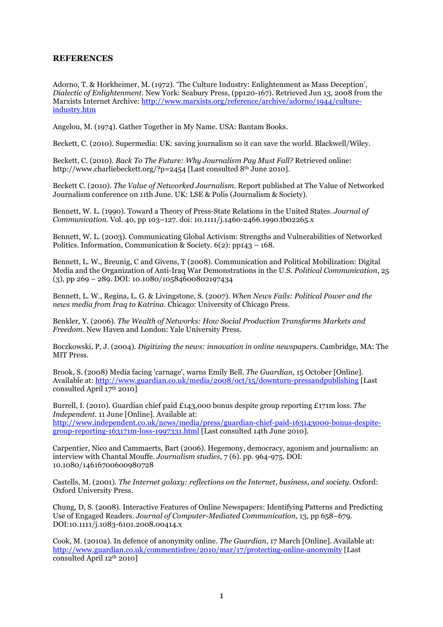#### **REFERENCES**

Adorno, T. & Horkheimer, M. (1972). 'The Culture Industry: Enlightenment as Mass Deception', Dialectic of Enlightenment. New York: Seabury Press, (pp120-167). Retrieved Jun 13, 2008 from the Marxists Internet Archive: http://www.marxists.org/reference/archive/adorno/1944/cultureindustry.htm

Angelou, M. (1974). Gather Together in My Name. USA: Bantam Books.

Beckett, C. (2010). Supermedia: UK: saving journalism so it can save the world. Blackwell/Wiley.

Beckett, C. (2010). Back To The Future: Why Journalism Pay Must Fall? Retrieved online: http://www.charliebeckett.org/?p=2454 [Last consulted 8<sup>th</sup> June 2010].

Beckett C. (2010). The Value of Networked Journalism. Report published at The Value of Networked Journalism conference on 11th June. UK: LSE & Polis (Journalism & Society).

Bennett, W. L. (1990). Toward a Theory of Press-State Relations in the United States. Journal of Communication. Vol. 40, pp 103–127. doi: 10.1111/j.1460-2466.1990.tb02265.x

Bennett, W. L. (2003). Communicating Global Activism: Strengths and Vulnerabilities of Networked Politics. Information, Communication & Society. 6(2): pp143 – 168.

Bennett, L. W., Breunig, C and Givens, T (2008). Communication and Political Mobilization: Digital Media and the Organization of Anti-Iraq War Demonstrations in the U.S. Political Communication, 25  $(3)$ , pp 269 – 289. DOI: 10.1080/10584600802197434

Bennett, L. W., Regina, L. G. & Livingstone, S. (2007). When News Fails: Political Power and the news media from Iraq to Katrina. Chicago: University of Chicago Press.

Benkler, Y. (2006). The Wealth of Networks: How Social Production Transforms Markets and Freedom. New Haven and London: Yale University Press.

Boczkowski, P, J. (2004). Digitizing the news: innovation in online newspapers. Cambridge, MA: The MIT Press.

Brook, S. (2008) Media facing 'carnage', warns Emily Bell. The Guardian, 15 October [Online]. Available at: http://www.guardian.co.uk/media/2008/oct/15/downturn-pressandpublishing [Last consulted April 17th 2010]

Burrell, I. (2010). Guardian chief paid £143,000 bonus despite group reporting £171m loss. The Independent. 11 June [Online]. Available at: http://www.independent.co.uk/news/media/press/guardian-chief-paid-163143000-bonus-despitegroup-reporting-163171m-loss-1997331.html [Last consulted 14th June 2010].

Carpentier, Nico and Cammaerts, Bart (2006). Hegemony, democracy, agonism and journalism: an interview with Chantal Mouffe. Journalism studies, 7 (6). pp. 964-975. DOI: 10.1080/14616700600980728

Castells, M. (2001). The Internet galaxy: reflections on the Internet, business, and society. Oxford: Oxford University Press.

Chung, D, S. (2008). Interactive Features of Online Newspapers: Identifying Patterns and Predicting Use of Engaged Readers. Journal of Computer-Mediated Communication, 13, pp 658–679. DOI:10.1111/j.1083-6101.2008.00414.x

Cook, M. (2010a). In defence of anonymity online. The Guardian, 17 March [Online]. Available at: http://www.guardian.co.uk/commentisfree/2010/mar/17/protecting-online-anonymity [Last consulted April 12th 2010]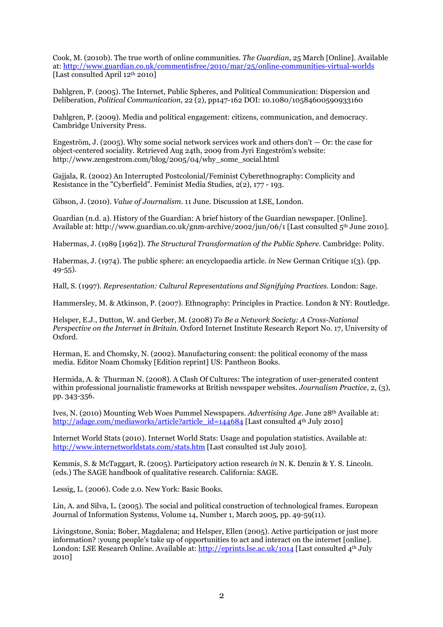Cook, M. (2010b). The true worth of online communities. The Guardian, 25 March [Online]. Available at: http://www.guardian.co.uk/commentisfree/2010/mar/25/online-communities-virtual-worlds [Last consulted April 12th 2010]

Dahlgren, P. (2005). The Internet, Public Spheres, and Political Communication: Dispersion and Deliberation, Political Communication, 22 (2), pp147-162 DOI: 10.1080/10584600590933160

Dahlgren, P. (2009). Media and political engagement: citizens, communication, and democracy. Cambridge University Press.

Engeström, J. (2005). Why some social network services work and others don't  $-$  Or: the case for object-centered sociality. Retrieved Aug 24th, 2009 from Jyri Engeström's website: http://www.zengestrom.com/blog/2005/04/why\_some\_social.html

Gaijala, R. (2002) An Interrupted Postcolonial/Feminist Cyberethnography: Complicity and Resistance in the "Cyberfield". Feminist Media Studies, 2(2), 177 - 193.

Gibson, J. (2010). Value of Journalism. 11 June. Discussion at LSE, London.

Guardian (n.d. a). History of the Guardian: A brief history of the Guardian newspaper. [Online]. Available at: http://www.guardian.co.uk/gnm-archive/2002/jun/06/1 [Last consulted 5th June 2010].

Habermas, J. (1989 [1962]). The Structural Transformation of the Public Sphere. Cambridge: Polity.

Habermas, J. (1974). The public sphere: an encyclopaedia article. in New German Critique 1(3). (pp. 49-55).

Hall, S. (1997). Representation: Cultural Representations and Signifying Practices. London: Sage.

Hammersley, M. & Atkinson, P. (2007). Ethnography: Principles in Practice. London & NY: Routledge.

Helsper, E.J., Dutton, W. and Gerber, M. (2008) To Be a Network Society: A Cross-National Perspective on the Internet in Britain. Oxford Internet Institute Research Report No. 17, University of Oxford.

Herman, E. and Chomsky, N. (2002). Manufacturing consent: the political economy of the mass media. Editor Noam Chomsky [Edition reprint] US: Pantheon Books.

Hermida, A. & Thurman N. (2008). A Clash Of Cultures: The integration of user-generated content within professional journalistic frameworks at British newspaper websites. Journalism Practice, 2, (3), pp. 343-356.

Ives, N. (2010) Mounting Web Woes Pummel Newspapers. Advertising Age. June 28th Available at: http://adage.com/mediaworks/article?article\_id=144684 [Last consulted 4<sup>th</sup> July 2010]

Internet World Stats (2010). Internet World Stats: Usage and population statistics. Available at: http://www.internetworldstats.com/stats.htm [Last consulted 1st July 2010].

Kemmis, S. & McTaggart, R. (2005). Participatory action research in N. K. Denzin & Y. S. Lincoln. (eds.) The SAGE handbook of qualitative research. California: SAGE.

Lessig, L. (2006). Code 2.0. New York: Basic Books.

Lin, A. and Silva, L. (2005). The social and political construction of technological frames. European Journal of Information Systems, Volume 14, Number 1, March 2005, pp. 49-59(11).

Livingstone, Sonia; Bober, Magdalena; and Helsper, Ellen (2005). Active participation or just more information? :young people's take up of opportunities to act and interact on the internet [online]. London: LSE Research Online. Available at: http://eprints.lse.ac.uk/1014 [Last consulted 4<sup>th</sup> July 2010]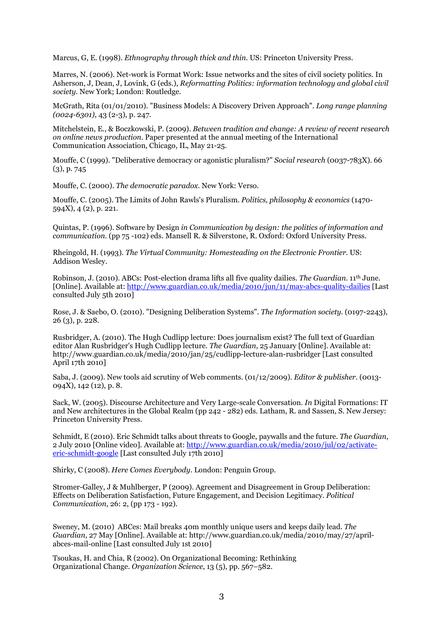Marcus, G, E. (1998). Ethnography through thick and thin. US: Princeton University Press.

Marres, N. (2006). Net-work is Format Work: Issue networks and the sites of civil society politics. In Asherson, J, Dean, J, Lovink, G (eds.), Reformatting Politics: information technology and global civil society. New York; London: Routledge.

McGrath, Rita (01/01/2010). "Business Models: A Discovery Driven Approach". Long range planning (0024-6301), 43 (2-3), p. 247.

Mitchelstein, E., & Boczkowski, P. (2009). Between tradition and change: A review of recent research on online news production. Paper presented at the annual meeting of the International Communication Association, Chicago, IL, May 21-25.

Mouffe, C (1999). "Deliberative democracy or agonistic pluralism?" Social research (0037-783X). 66 (3), p. 745

Mouffe, C. (2000). The democratic paradox. New York: Verso.

Mouffe, C. (2005). The Limits of John Rawls's Pluralism. Politics, philosophy & economics (1470- 594X), 4 (2), p. 221.

Quintas, P. (1996). Software by Design in Communication by design: the politics of information and communication. (pp 75 -102) eds. Mansell R. & Silverstone, R. Oxford: Oxford University Press.

Rheingold, H. (1993). The Virtual Community: Homesteading on the Electronic Frontier. US: Addison Wesley.

Robinson, J. (2010). ABCs: Post-election drama lifts all five quality dailies. The Guardian. 11th June. [Online]. Available at: http://www.guardian.co.uk/media/2010/jun/11/may-abcs-quality-dailies [Last consulted July 5th 2010]

Rose, J. & Saebo, O. (2010). "Designing Deliberation Systems". The Information society. (0197-2243), 26 (3), p. 228.

Rusbridger, A. (2010). The Hugh Cudlipp lecture: Does journalism exist? The full text of Guardian editor Alan Rusbridger's Hugh Cudlipp lecture. The Guardian, 25 January [Online]. Available at: http://www.guardian.co.uk/media/2010/jan/25/cudlipp-lecture-alan-rusbridger [Last consulted April 17th 2010]

Saba, J. (2009). New tools aid scrutiny of Web comments. (01/12/2009). Editor & publisher. (0013- 094X), 142 (12), p. 8.

Sack, W. (2005). Discourse Architecture and Very Large-scale Conversation. In Digital Formations: IT and New architectures in the Global Realm (pp 242 - 282) eds. Latham, R. and Sassen, S. New Jersey: Princeton University Press.

Schmidt, E (2010). Eric Schmidt talks about threats to Google, paywalls and the future. The Guardian, 2 July 2010 [Online video]. Available at: http://www.guardian.co.uk/media/2010/jul/02/activateeric-schmidt-google [Last consulted July 17th 2010]

Shirky, C (2008). Here Comes Everybody. London: Penguin Group.

Stromer-Galley, J & Muhlberger, P (2009). Agreement and Disagreement in Group Deliberation: Effects on Deliberation Satisfaction, Future Engagement, and Decision Legitimacy. Political Communication, 26: 2, (pp 173 - 192).

Sweney, M. (2010) ABCes: Mail breaks 40m monthly unique users and keeps daily lead. The Guardian, 27 May [Online]. Available at: http://www.guardian.co.uk/media/2010/may/27/aprilabces-mail-online [Last consulted July 1st 2010]

Tsoukas, H. and Chia, R (2002). On Organizational Becoming: Rethinking Organizational Change. Organization Science, 13 (5), pp. 567–582.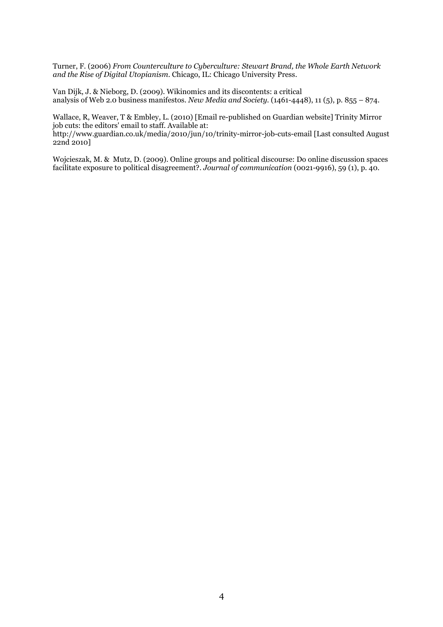Turner, F. (2006) From Counterculture to Cyberculture: Stewart Brand, the Whole Earth Network and the Rise of Digital Utopianism. Chicago, IL: Chicago University Press.

Van Dijk, J. & Nieborg, D. (2009). Wikinomics and its discontents: a critical analysis of Web 2.0 business manifestos. New Media and Society. (1461-4448), 11 (5), p. 855 – 874.

Wallace, R, Weaver, T & Embley, L. (2010) [Email re-published on Guardian website] Trinity Mirror job cuts: the editors' email to staff. Available at:

http://www.guardian.co.uk/media/2010/jun/10/trinity-mirror-job-cuts-email [Last consulted August 22nd 2010]

Wojcieszak, M. & Mutz, D. (2009). Online groups and political discourse: Do online discussion spaces facilitate exposure to political disagreement?. Journal of communication (0021-9916), 59 (1), p. 40.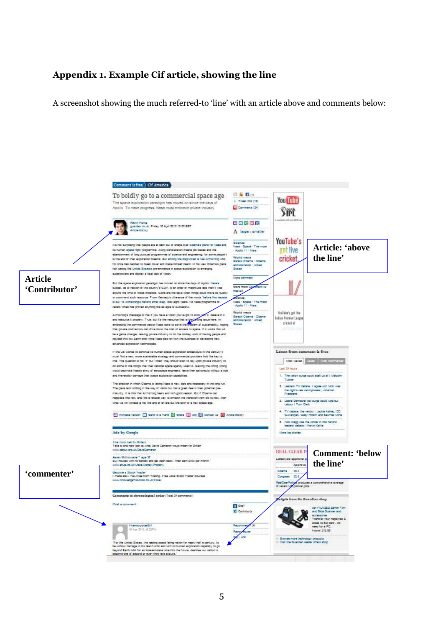## Appendix 1. Example Cif article, showing the line

A screenshot showing the much referred-to 'line' with an article above and comments below:

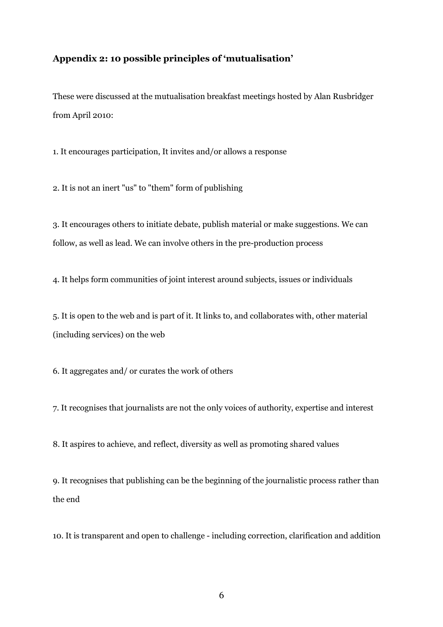### Appendix 2: 10 possible principles of 'mutualisation'

These were discussed at the mutualisation breakfast meetings hosted by Alan Rusbridger from April 2010:

1. It encourages participation, It invites and/or allows a response

2. It is not an inert "us" to "them" form of publishing

3. It encourages others to initiate debate, publish material or make suggestions. We can follow, as well as lead. We can involve others in the pre-production process

4. It helps form communities of joint interest around subjects, issues or individuals

5. It is open to the web and is part of it. It links to, and collaborates with, other material (including services) on the web

6. It aggregates and/ or curates the work of others

7. It recognises that journalists are not the only voices of authority, expertise and interest

8. It aspires to achieve, and reflect, diversity as well as promoting shared values

9. It recognises that publishing can be the beginning of the journalistic process rather than the end

10. It is transparent and open to challenge - including correction, clarification and addition